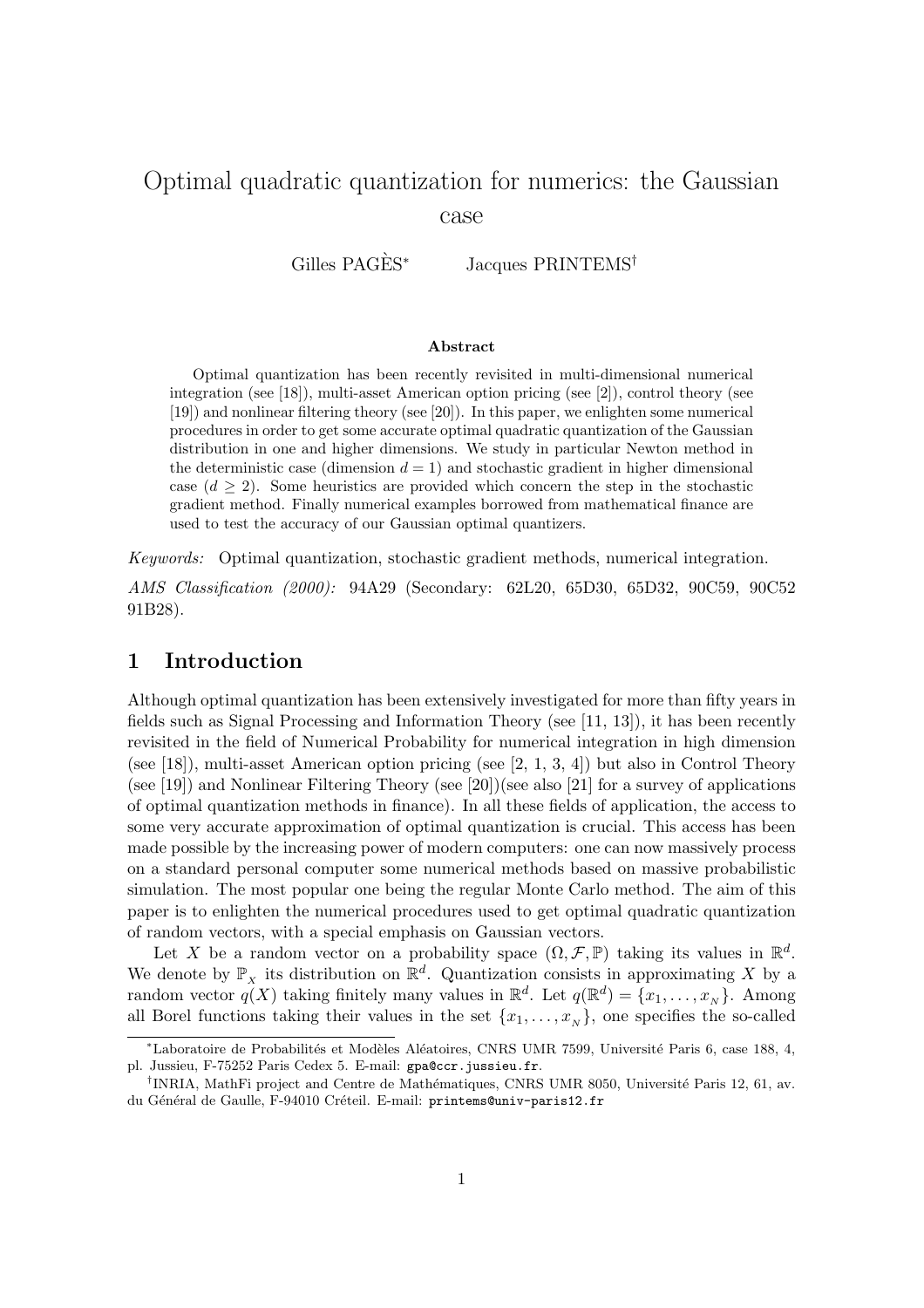# Optimal quadratic quantization for numerics: the Gaussian case

Gilles PAGÈS<sup>\*</sup> Jacques PRINTEMS<sup>†</sup>

#### Abstract

Optimal quantization has been recently revisited in multi-dimensional numerical integration (see [18]), multi-asset American option pricing (see [2]), control theory (see [19]) and nonlinear filtering theory (see [20]). In this paper, we enlighten some numerical procedures in order to get some accurate optimal quadratic quantization of the Gaussian distribution in one and higher dimensions. We study in particular Newton method in the deterministic case (dimension  $d = 1$ ) and stochastic gradient in higher dimensional case  $(d > 2)$ . Some heuristics are provided which concern the step in the stochastic gradient method. Finally numerical examples borrowed from mathematical finance are used to test the accuracy of our Gaussian optimal quantizers.

Keywords: Optimal quantization, stochastic gradient methods, numerical integration.

AMS Classification (2000): 94A29 (Secondary: 62L20, 65D30, 65D32, 90C59, 90C52 91B28).

# 1 Introduction

Although optimal quantization has been extensively investigated for more than fifty years in fields such as Signal Processing and Information Theory (see [11, 13]), it has been recently revisited in the field of Numerical Probability for numerical integration in high dimension (see [18]), multi-asset American option pricing (see [2, 1, 3, 4]) but also in Control Theory (see [19]) and Nonlinear Filtering Theory (see [20])(see also [21] for a survey of applications of optimal quantization methods in finance). In all these fields of application, the access to some very accurate approximation of optimal quantization is crucial. This access has been made possible by the increasing power of modern computers: one can now massively process on a standard personal computer some numerical methods based on massive probabilistic simulation. The most popular one being the regular Monte Carlo method. The aim of this paper is to enlighten the numerical procedures used to get optimal quadratic quantization of random vectors, with a special emphasis on Gaussian vectors.

Let X be a random vector on a probability space  $(\Omega, \mathcal{F}, \mathbb{P})$  taking its values in  $\mathbb{R}^d$ . We denote by  $\mathbb{P}_X$  its distribution on  $\mathbb{R}^d$ . Quantization consists in approximating X by a random vector  $q(X)$  taking finitely many values in  $\mathbb{R}^d$ . Let  $q(\mathbb{R}^d) = \{x_1, \ldots, x_N\}$ . Among all Borel functions taking their values in the set  $\{x_1, \ldots, x_N\}$ , one specifies the so-called

<sup>\*</sup>Laboratoire de Probabilités et Modèles Aléatoires, CNRS UMR 7599, Université Paris 6, case 188, 4, pl. Jussieu, F-75252 Paris Cedex 5. E-mail: gpa@ccr.jussieu.fr.

<sup>&</sup>lt;sup>†</sup>INRIA, MathFi project and Centre de Mathématiques, CNRS UMR 8050, Université Paris 12, 61, av. du Général de Gaulle, F-94010 Créteil. E-mail: printems@univ-paris12.fr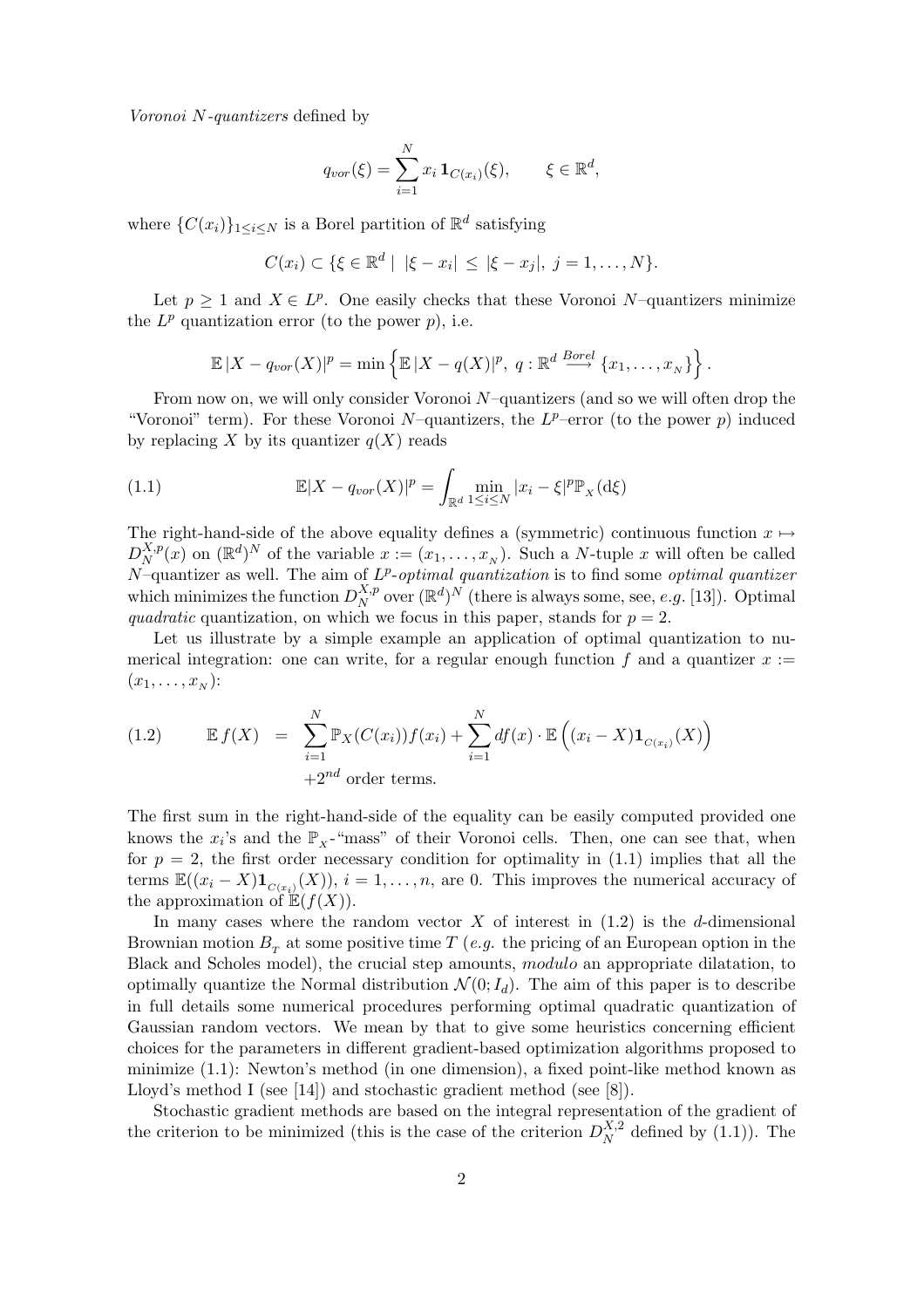Voronoi N-quantizers defined by

$$
q_{vor}(\xi) = \sum_{i=1}^{N} x_i \mathbf{1}_{C(x_i)}(\xi), \qquad \xi \in \mathbb{R}^d,
$$

where  $\{C(x_i)\}_{1 \leq i \leq N}$  is a Borel partition of  $\mathbb{R}^d$  satisfying

 $C(x_i) \subset \{\xi \in \mathbb{R}^d \mid |\xi - x_i| \leq |\xi - x_j|, j = 1, ..., N\}.$ 

Let  $p \geq 1$  and  $X \in L^p$ . One easily checks that these Voronoi N-quantizers minimize the  $L^p$  quantization error (to the power  $p$ ), i.e.

$$
\mathbb{E}|X-q_{vor}(X)|^p=\min\left\{\mathbb{E}|X-q(X)|^p, q:\mathbb{R}^d\stackrel{Borel}{\longrightarrow}\{x_1,\ldots,x_N\}\right\}.
$$

From now on, we will only consider Voronoi N–quantizers (and so we will often drop the "Voronoi" term). For these Voronoi  $N$ -quantizers, the  $L^p$ -error (to the power p) induced by replacing X by its quantizer  $q(X)$  reads

(1.1) 
$$
\mathbb{E}|X - q_{vor}(X)|^p = \int_{\mathbb{R}^d} \min_{1 \le i \le N} |x_i - \xi|^p \mathbb{P}_X(\mathrm{d}\xi)
$$

The right-hand-side of the above equality defines a (symmetric) continuous function  $x \mapsto$  $D_{N}^{X,p}$  $X_{N}^{X,p}(x)$  on  $(\mathbb{R}^{d})^{N}$  of the variable  $x := (x_{1}, \ldots, x_{N})$ . Such a *N*-tuple x will often be called N-quantizer as well. The aim of  $L^p$ -optimal quantization is to find some optimal quantizer which minimizes the function  $D_N^{X,p}$  $X_p^{X,p}$  over  $(\mathbb{R}^d)^N$  (there is always some, see, e.g. [13]). Optimal quadratic quantization, on which we focus in this paper, stands for  $p = 2$ .

Let us illustrate by a simple example an application of optimal quantization to numerical integration: one can write, for a regular enough function f and a quantizer  $x :=$  $(x_1,\ldots,x_N)$ :

(1.2) 
$$
\mathbb{E} f(X) = \sum_{i=1}^{N} \mathbb{P}_{X}(C(x_i)) f(x_i) + \sum_{i=1}^{N} df(x) \cdot \mathbb{E} \left( (x_i - X) \mathbf{1}_{C(x_i)}(X) \right)
$$

$$
+ 2^{nd} \text{ order terms.}
$$

The first sum in the right-hand-side of the equality can be easily computed provided one knows the  $x_i$ 's and the  $\mathbb{P}_x$ -"mass" of their Voronoi cells. Then, one can see that, when for  $p = 2$ , the first order necessary condition for optimality in (1.1) implies that all the terms  $\mathbb{E}((x_i - X)\mathbf{1}_{C(x_i)}(X)), i = 1, \ldots, n$ , are 0. This improves the numerical accuracy of the approximation of  $\mathbb{E}(f(X))$ .

In many cases where the random vector  $X$  of interest in  $(1.2)$  is the d-dimensional Brownian motion  $B_T$  at some positive time T (*e.g.* the pricing of an European option in the Black and Scholes model), the crucial step amounts, modulo an appropriate dilatation, to optimally quantize the Normal distribution  $\mathcal{N}(0; I_d)$ . The aim of this paper is to describe in full details some numerical procedures performing optimal quadratic quantization of Gaussian random vectors. We mean by that to give some heuristics concerning efficient choices for the parameters in different gradient-based optimization algorithms proposed to minimize (1.1): Newton's method (in one dimension), a fixed point-like method known as Lloyd's method I (see [14]) and stochastic gradient method (see [8]).

Stochastic gradient methods are based on the integral representation of the gradient of the criterion to be minimized (this is the case of the criterion  $D_N^{X,2}$  $N^{\Lambda,2}$  defined by  $(1.1)$ ). The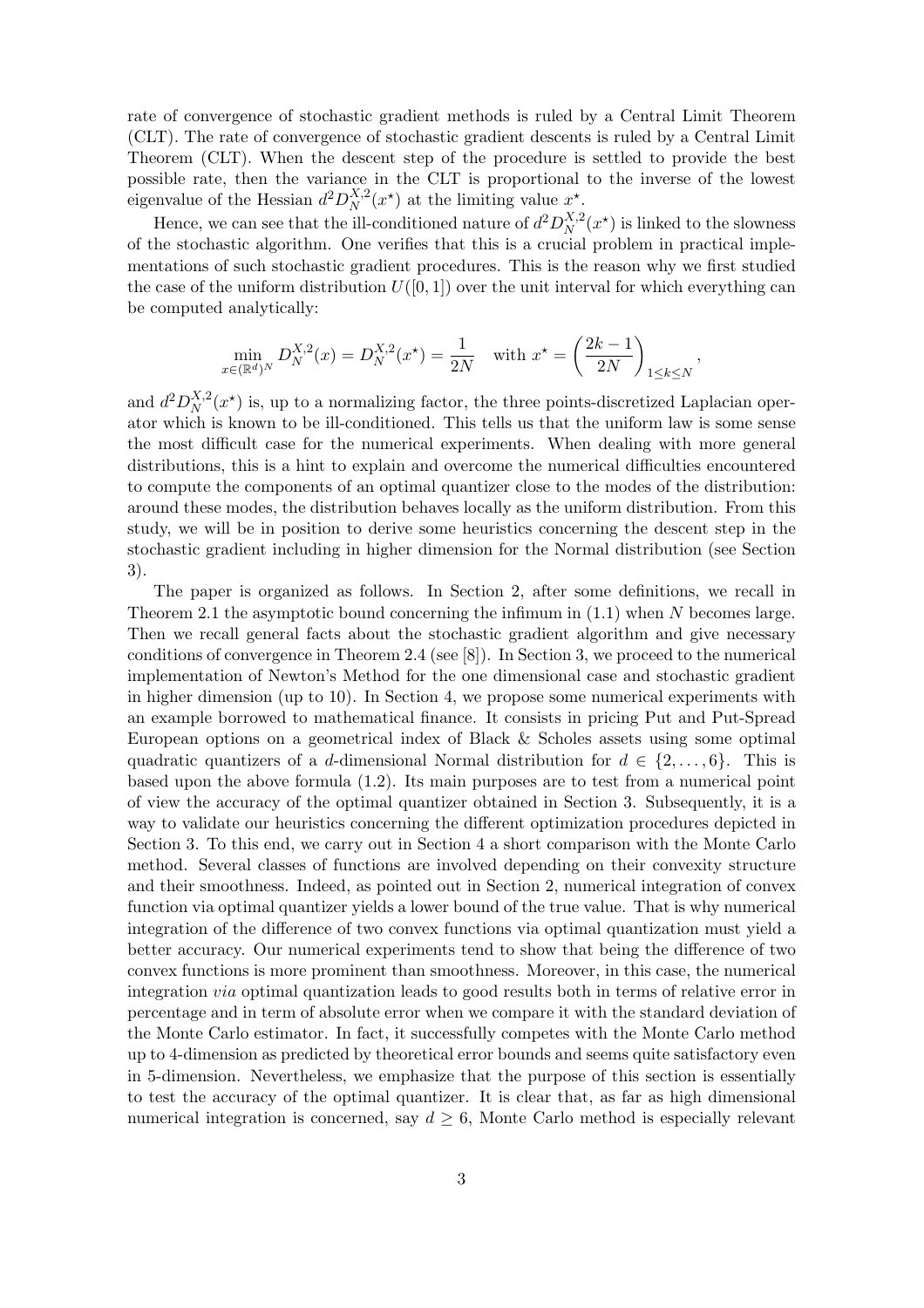rate of convergence of stochastic gradient methods is ruled by a Central Limit Theorem (CLT). The rate of convergence of stochastic gradient descents is ruled by a Central Limit Theorem (CLT). When the descent step of the procedure is settled to provide the best possible rate, then the variance in the CLT is proportional to the inverse of the lowest eigenvalue of the Hessian  $d^2D_N^{X,2}$  $X^{X,2}_N(x^*)$  at the limiting value  $x^*$ .

Hence, we can see that the ill-conditioned nature of  $d^2D_N^{X,2}$  $X^{X,2}_N(x^*)$  is linked to the slowness of the stochastic algorithm. One verifies that this is a crucial problem in practical implementations of such stochastic gradient procedures. This is the reason why we first studied the case of the uniform distribution  $U([0, 1])$  over the unit interval for which everything can be computed analytically:

$$
\min_{x \in (\mathbb{R}^d)^N} D_N^{X,2}(x) = D_N^{X,2}(x^\star) = \frac{1}{2N} \quad \text{with } x^\star = \left(\frac{2k-1}{2N}\right)_{1 \le k \le N},
$$

and  $d^2D_N^{X,2}$  $X^{(X,2)}_{N}(x^*)$  is, up to a normalizing factor, the three points-discretized Laplacian operator which is known to be ill-conditioned. This tells us that the uniform law is some sense the most difficult case for the numerical experiments. When dealing with more general distributions, this is a hint to explain and overcome the numerical difficulties encountered to compute the components of an optimal quantizer close to the modes of the distribution: around these modes, the distribution behaves locally as the uniform distribution. From this study, we will be in position to derive some heuristics concerning the descent step in the stochastic gradient including in higher dimension for the Normal distribution (see Section 3).

The paper is organized as follows. In Section 2, after some definitions, we recall in Theorem 2.1 the asymptotic bound concerning the infimum in  $(1.1)$  when N becomes large. Then we recall general facts about the stochastic gradient algorithm and give necessary conditions of convergence in Theorem 2.4 (see [8]). In Section 3, we proceed to the numerical implementation of Newton's Method for the one dimensional case and stochastic gradient in higher dimension (up to 10). In Section 4, we propose some numerical experiments with an example borrowed to mathematical finance. It consists in pricing Put and Put-Spread European options on a geometrical index of Black & Scholes assets using some optimal quadratic quantizers of a d-dimensional Normal distribution for  $d \in \{2, \ldots, 6\}$ . This is based upon the above formula (1.2). Its main purposes are to test from a numerical point of view the accuracy of the optimal quantizer obtained in Section 3. Subsequently, it is a way to validate our heuristics concerning the different optimization procedures depicted in Section 3. To this end, we carry out in Section 4 a short comparison with the Monte Carlo method. Several classes of functions are involved depending on their convexity structure and their smoothness. Indeed, as pointed out in Section 2, numerical integration of convex function via optimal quantizer yields a lower bound of the true value. That is why numerical integration of the difference of two convex functions via optimal quantization must yield a better accuracy. Our numerical experiments tend to show that being the difference of two convex functions is more prominent than smoothness. Moreover, in this case, the numerical integration via optimal quantization leads to good results both in terms of relative error in percentage and in term of absolute error when we compare it with the standard deviation of the Monte Carlo estimator. In fact, it successfully competes with the Monte Carlo method up to 4-dimension as predicted by theoretical error bounds and seems quite satisfactory even in 5-dimension. Nevertheless, we emphasize that the purpose of this section is essentially to test the accuracy of the optimal quantizer. It is clear that, as far as high dimensional numerical integration is concerned, say  $d \geq 6$ , Monte Carlo method is especially relevant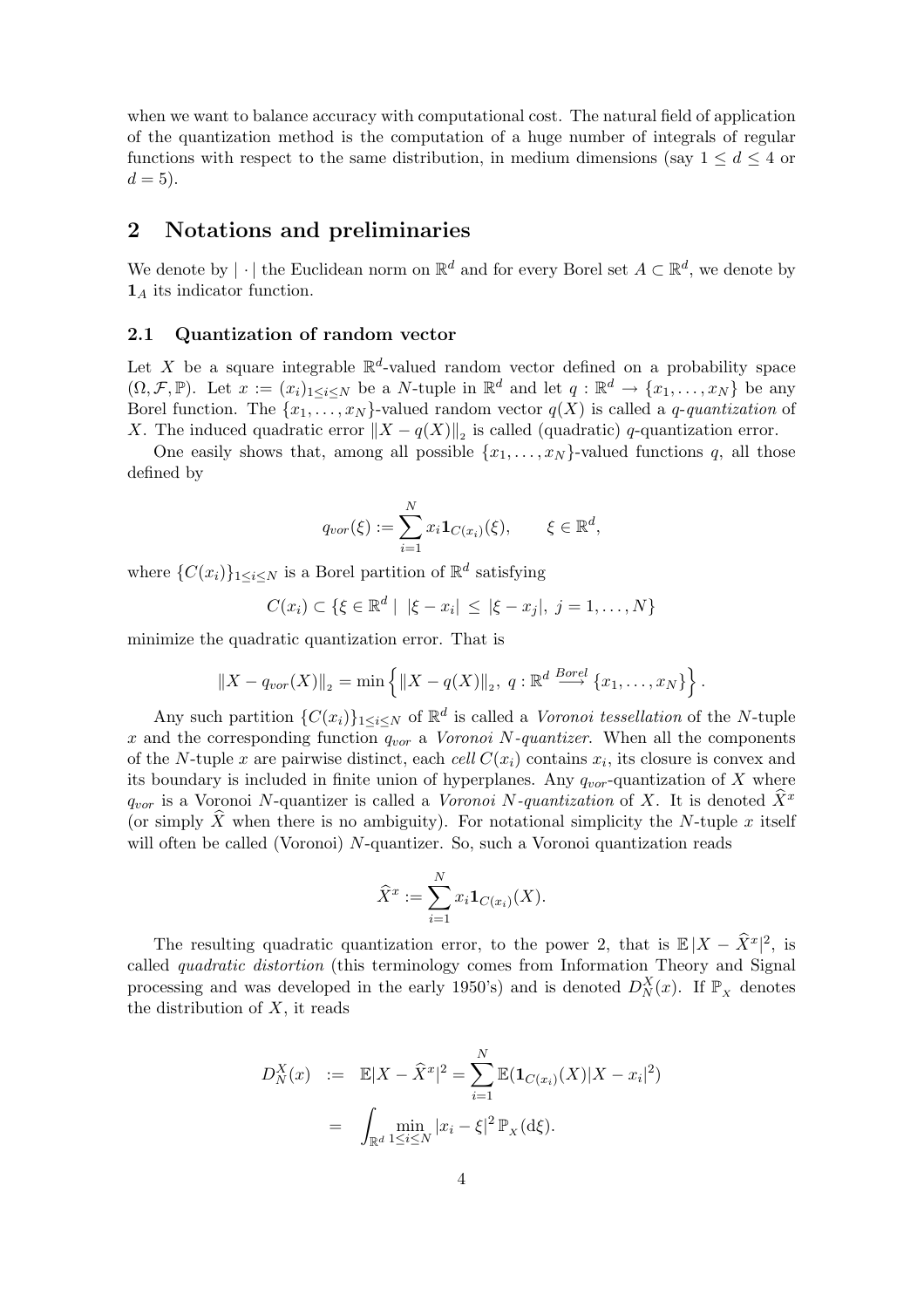when we want to balance accuracy with computational cost. The natural field of application of the quantization method is the computation of a huge number of integrals of regular functions with respect to the same distribution, in medium dimensions (say  $1 \leq d \leq 4$  or  $d = 5$ ).

## 2 Notations and preliminaries

We denote by  $|\cdot|$  the Euclidean norm on  $\mathbb{R}^d$  and for every Borel set  $A \subset \mathbb{R}^d$ , we denote by  $\mathbf{1}_A$  its indicator function.

#### 2.1 Quantization of random vector

Let X be a square integrable  $\mathbb{R}^d$ -valued random vector defined on a probability space  $(\Omega, \mathcal{F}, \mathbb{P})$ . Let  $x := (x_i)_{1 \leq i \leq N}$  be a N-tuple in  $\mathbb{R}^d$  and let  $q : \mathbb{R}^d \to \{x_1, \ldots, x_N\}$  be any Borel function. The  $\{x_1, \ldots, x_N\}$ -valued random vector  $q(X)$  is called a q-quantization of X. The induced quadratic error  $||X - q(X)||_2$  is called (quadratic) q-quantization error.

One easily shows that, among all possible  $\{x_1, \ldots, x_N\}$ -valued functions q, all those defined by

$$
q_{vor}(\xi) := \sum_{i=1}^{N} x_i \mathbf{1}_{C(x_i)}(\xi), \qquad \xi \in \mathbb{R}^d,
$$

where  $\{C(x_i)\}_{1 \leq i \leq N}$  is a Borel partition of  $\mathbb{R}^d$  satisfying

$$
C(x_i) \subset \{ \xi \in \mathbb{R}^d \mid |\xi - x_i| \leq |\xi - x_j|, j = 1, ..., N \}
$$

minimize the quadratic quantization error. That is

$$
||X - q_{vor}(X)||_2 = \min \{ ||X - q(X)||_2, q : \mathbb{R}^d \stackrel{Borel}{\longrightarrow} \{x_1, ..., x_N\} \}.
$$

Any such partition  $\{C(x_i)\}_{1\leq i\leq N}$  of  $\mathbb{R}^d$  is called a *Voronoi tessellation* of the *N*-tuple x and the corresponding function  $q_{vor}$  a *Voronoi* N-quantizer. When all the components of the N-tuple x are pairwise distinct, each cell  $C(x_i)$  contains  $x_i$ , its closure is convex and its boundary is included in finite union of hyperplanes. Any  $q_{vor}$ -quantization of X where  $q_{vor}$  is a Voronoi N-quantizer is called a Voronoi N-quantization of X. It is denoted  $\hat{X}^x$ (or simply X when there is no ambiguity). For notational simplicity the N-tuple x itself will often be called (Voronoi) N-quantizer. So, such a Voronoi quantization reads

$$
\widehat{X}^x := \sum_{i=1}^N x_i \mathbf{1}_{C(x_i)}(X).
$$

The resulting quadratic quantization error, to the power 2, that is  $\mathbb{E}|X - \hat{X}^x|^2$ , is called quadratic distortion (this terminology comes from Information Theory and Signal processing and was developed in the early 1950's) and is denoted  $D_N^X(x)$ . If  $\mathbb{P}_X$  denotes the distribution of  $X$ , it reads

$$
D_N^X(x) := \mathbb{E}|X - \hat{X}^x|^2 = \sum_{i=1}^N \mathbb{E}(\mathbf{1}_{C(x_i)}(X)|X - x_i|^2)
$$
  
= 
$$
\int_{\mathbb{R}^d} \min_{1 \le i \le N} |x_i - \xi|^2 \mathbb{P}_X(\mathrm{d}\xi).
$$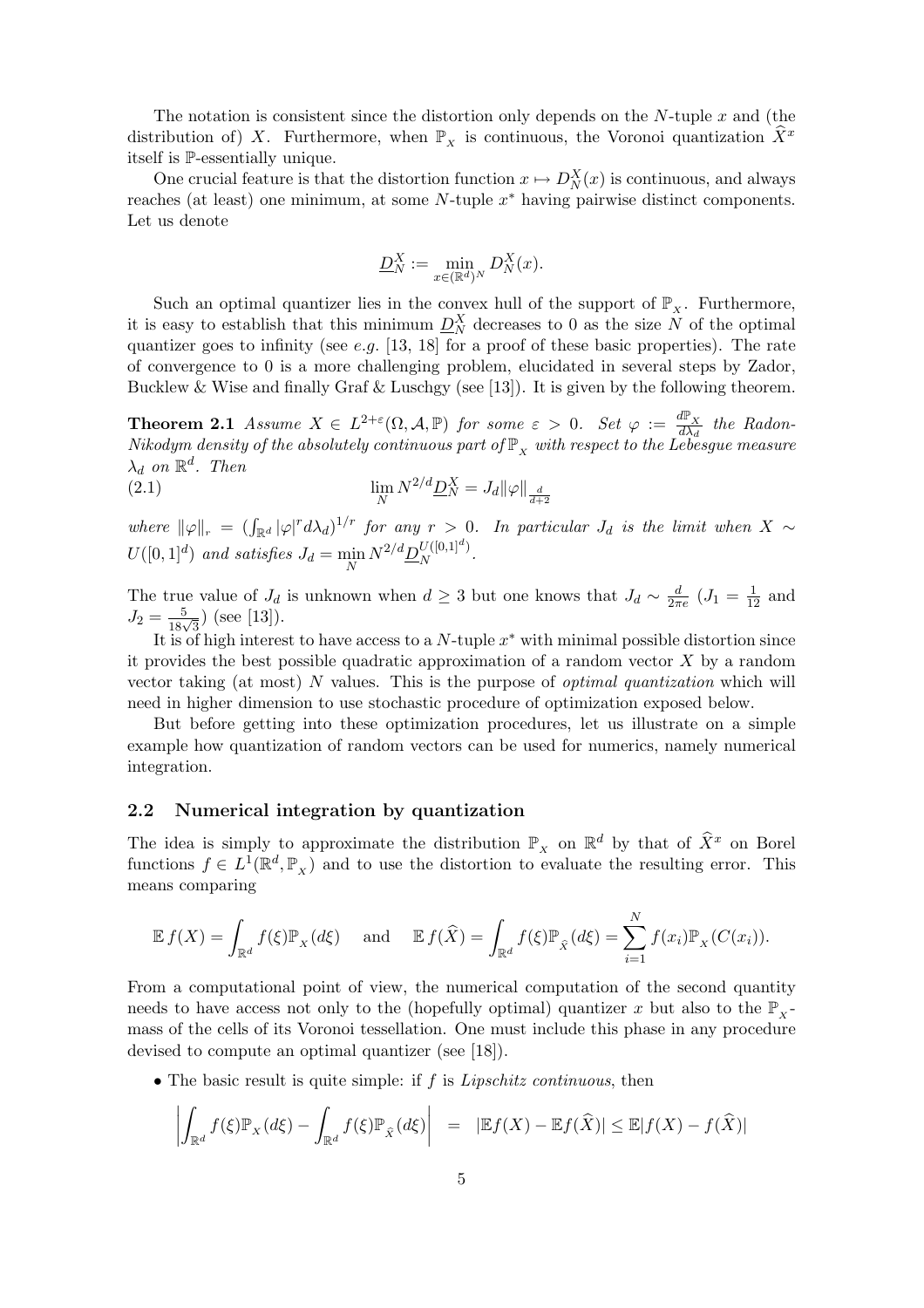The notation is consistent since the distortion only depends on the N-tuple  $x$  and (the distribution of) X. Furthermore, when  $\mathbb{P}_x$  is continuous, the Voronoi quantization  $\bar{X}^x$ itself is P-essentially unique.

One crucial feature is that the distortion function  $x \mapsto D_N^X(x)$  is continuous, and always reaches (at least) one minimum, at some  $N$ -tuple  $x^*$  having pairwise distinct components. Let us denote

$$
\underline{D}_N^X := \min_{x \in (\mathbb{R}^d)^N} D_N^X(x).
$$

Such an optimal quantizer lies in the convex hull of the support of  $\mathbb{P}_X$ . Furthermore, it is easy to establish that this minimum  $D_N^X$  decreases to 0 as the size N of the optimal quantizer goes to infinity (see e.g.  $[13, 18]$  for a proof of these basic properties). The rate of convergence to 0 is a more challenging problem, elucidated in several steps by Zador, Bucklew & Wise and finally Graf & Luschey (see [13]). It is given by the following theorem.

**Theorem 2.1** Assume  $X \in L^{2+\varepsilon}(\Omega, \mathcal{A}, \mathbb{P})$  for some  $\varepsilon > 0$ . Set  $\varphi := \frac{d\mathbb{P}_X}{d\lambda}$ .  $\frac{d\ln x}{d\lambda_d}$  the Radon-Nikodym density of the absolutely continuous part of  $\mathbb{P}_{X}$  with respect to the Lebesgue measure  $\lambda_d$  on  $\mathbb{R}^d$ . Then

(2.1) 
$$
\lim_{N} N^{2/d} \underline{D}_{N}^{X} = J_{d} ||\varphi||_{\frac{d}{d+2}}
$$

where  $\|\varphi\|_{r} = (\int_{\mathbb{R}^d} |\varphi|^r d\lambda_d)^{1/r}$  for any  $r > 0$ . In particular  $J_d$  is the limit when  $X \sim$  $U([0,1]^d)$  and satisfies  $J_d = \min_N N^{2/d} \underline{D}_N^{U([0,1]^d)}$  $N^{U([0,1]^{n})}$ .

The true value of  $J_d$  is unknown when  $d \geq 3$  but one knows that  $J_d \sim \frac{d}{2\pi}$  $\frac{d}{2\pi e}$   $(J_1 = \frac{1}{12}$  and  $J_2 = \frac{5}{18\sqrt{3}}$  (see [13]).

It is of high interest to have access to a N-tuple  $x^*$  with minimal possible distortion since it provides the best possible quadratic approximation of a random vector  $X$  by a random vector taking (at most) N values. This is the purpose of optimal quantization which will need in higher dimension to use stochastic procedure of optimization exposed below.

But before getting into these optimization procedures, let us illustrate on a simple example how quantization of random vectors can be used for numerics, namely numerical integration.

## 2.2 Numerical integration by quantization

The idea is simply to approximate the distribution  $\mathbb{P}_x$  on  $\mathbb{R}^d$  by that of  $\widehat{X}^x$  on Borel functions  $f \in L^1(\mathbb{R}^d, \mathbb{P}_X)$  and to use the distortion to evaluate the resulting error. This means comparing

$$
\mathbb{E} f(X) = \int_{\mathbb{R}^d} f(\xi) \mathbb{P}_X(d\xi) \quad \text{and} \quad \mathbb{E} f(\widehat{X}) = \int_{\mathbb{R}^d} f(\xi) \mathbb{P}_{\widehat{X}}(d\xi) = \sum_{i=1}^N f(x_i) \mathbb{P}_X(C(x_i)).
$$

From a computational point of view, the numerical computation of the second quantity needs to have access not only to the (hopefully optimal) quantizer x but also to the  $\mathbb{P}_{x}$ mass of the cells of its Voronoi tessellation. One must include this phase in any procedure devised to compute an optimal quantizer (see [18]).

• The basic result is quite simple: if  $f$  is *Lipschitz continuous*, then

$$
\left| \int_{\mathbb{R}^d} f(\xi) \mathbb{P}_X(d\xi) - \int_{\mathbb{R}^d} f(\xi) \mathbb{P}_{\hat{X}}(d\xi) \right| = |\mathbb{E}f(X) - \mathbb{E}f(\hat{X})| \le \mathbb{E}|f(X) - f(\hat{X})|
$$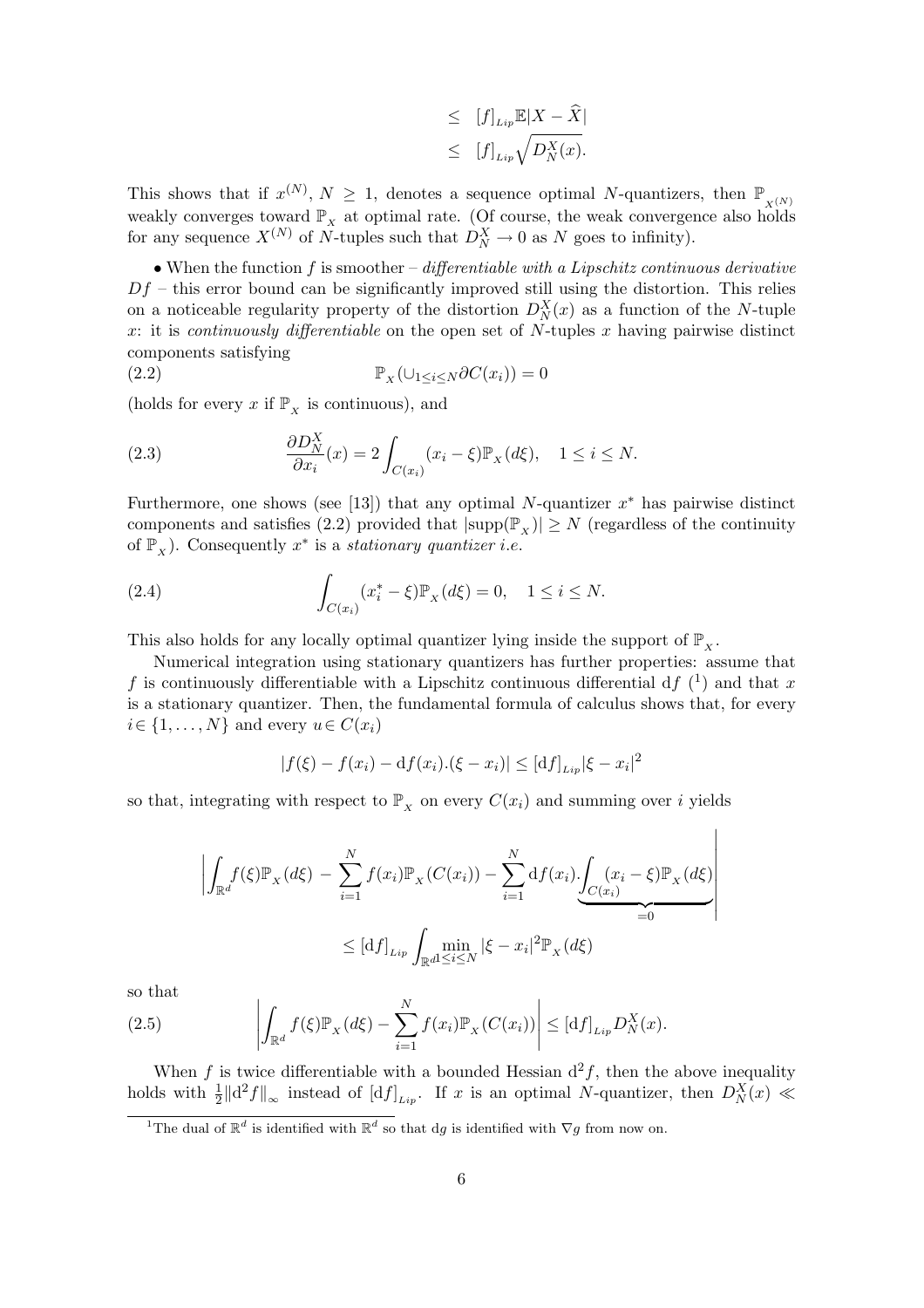$$
\leq \quad [f]_{Lip} \mathbb{E}|X - \widehat{X}|
$$
  

$$
\leq \quad [f]_{Lip} \sqrt{D_N^X(x)}.
$$

This shows that if  $x^{(N)}$ ,  $N \geq 1$ , denotes a sequence optimal N-quantizers, then  $\mathbb{P}_{X^{(N)}}$ weakly converges toward  $\mathbb{P}_{X}$  at optimal rate. (Of course, the weak convergence also holds for any sequence  $X^{(N)}$  of N-tuples such that  $D_N^X \to 0$  as N goes to infinity).

• When the function  $f$  is smoother – differentiable with a Lipschitz continuous derivative  $Df$  – this error bound can be significantly improved still using the distortion. This relies on a noticeable regularity property of the distortion  $D_N^X(x)$  as a function of the N-tuple x: it is *continuously differentiable* on the open set of N-tuples x having pairwise distinct components satisfying

(2.2) 
$$
\mathbb{P}_X(\cup_{1 \le i \le N} \partial C(x_i)) = 0
$$

(holds for every x if  $\mathbb{P}_x$  is continuous), and

(2.3) 
$$
\frac{\partial D_N^X}{\partial x_i}(x) = 2 \int_{C(x_i)} (x_i - \xi) \mathbb{P}_X(d\xi), \quad 1 \le i \le N.
$$

Furthermore, one shows (see [13]) that any optimal N-quantizer  $x^*$  has pairwise distinct components and satisfies (2.2) provided that  $|\text{supp}(\mathbb{P}_X)| \geq N$  (regardless of the continuity of  $\mathbb{P}_x$ ). Consequently  $x^*$  is a stationary quantizer i.e.

(2.4) 
$$
\int_{C(x_i)} (x_i^* - \xi) \mathbb{P}_X(d\xi) = 0, \quad 1 \le i \le N.
$$

This also holds for any locally optimal quantizer lying inside the support of  $\mathbb{P}_x$ .

Numerical integration using stationary quantizers has further properties: assume that f is continuously differentiable with a Lipschitz continuous differential df  $(1)$  and that x is a stationary quantizer. Then, the fundamental formula of calculus shows that, for every  $i \in \{1, \ldots, N\}$  and every  $u \in C(x_i)$ 

$$
|f(\xi) - f(x_i) - df(x_i) \cdot (\xi - x_i)| \leq [df]_{Lip} |\xi - x_i|^2
$$

so that, integrating with respect to  $\mathbb{P}_X$  on every  $C(x_i)$  and summing over i yields

$$
\left| \int_{\mathbb{R}^d} f(\xi) \mathbb{P}_X(d\xi) - \sum_{i=1}^N f(x_i) \mathbb{P}_X(C(x_i)) - \sum_{i=1}^N df(x_i) \cdot \underbrace{\int_{C(x_i)} (x_i - \xi) \mathbb{P}_X(d\xi)}_{=0} \right|
$$
  
 
$$
\leq [df]_{Lip} \int_{\mathbb{R}^d} \min_{1 \leq i \leq N} |\xi - x_i|^2 \mathbb{P}_X(d\xi)
$$

so that

so that  
\n
$$
(2.5) \qquad \left| \int_{\mathbb{R}^d} f(\xi) \mathbb{P}_X(d\xi) - \sum_{i=1}^N f(x_i) \mathbb{P}_X(C(x_i)) \right| \leq [df]_{Lip} D_N^X(x).
$$

When f is twice differentiable with a bounded Hessian  $d^2f$ , then the above inequality holds with  $\frac{1}{2} ||d^2 f||_{\infty}$  instead of  $[df]_{Lip}$ . If x is an optimal N-quantizer, then  $D_N^X(x) \ll$ 

<sup>&</sup>lt;sup>1</sup>The dual of  $\mathbb{R}^d$  is identified with  $\mathbb{R}^d$  so that dg is identified with  $\nabla g$  from now on.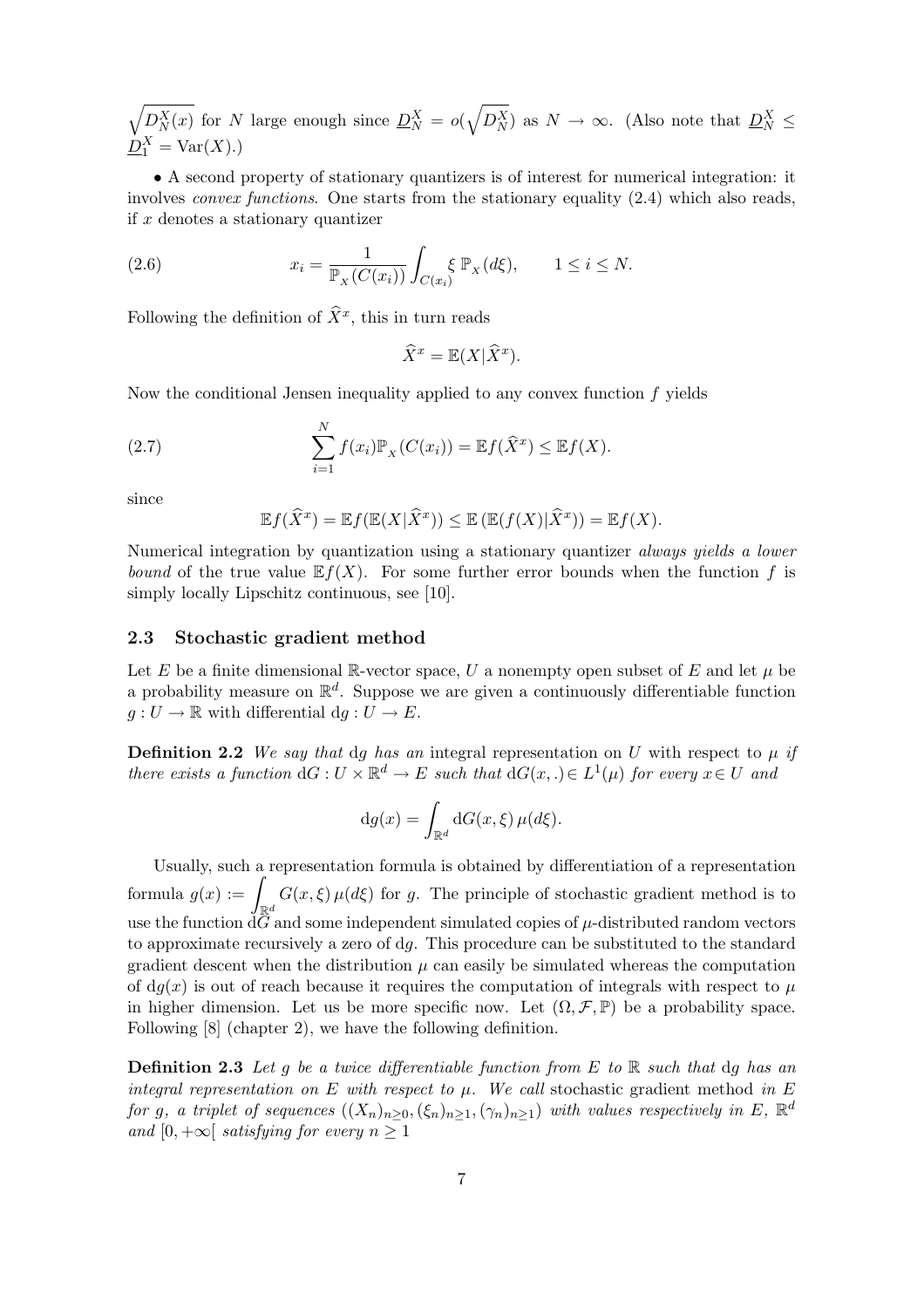$\mathcal{L}$  $D_N^X(x)$  for N large enough since  $D_N^X = o(x)$  $\mathcal{L}$  $D_N^X$ ) as  $N \to \infty$ . (Also note that  $D_N^X \leq$  $\underline{D}_1^X$  = Var(X).)

• A second property of stationary quantizers is of interest for numerical integration: it involves *convex functions*. One starts from the stationary equality  $(2.4)$  which also reads, if  $x$  denotes a stationary quantizer

(2.6) 
$$
x_i = \frac{1}{\mathbb{P}_X(C(x_i))} \int_{C(x_i)} \xi \mathbb{P}_X(d\xi), \qquad 1 \le i \le N.
$$

Following the definition of  $\widehat{X}^x$ , this in turn reads

 $\widehat{X}^x = \mathbb{E}(X|\widehat{X}^x).$ 

Now the conditional Jensen inequality applied to any convex function  $f$  yields

(2.7) 
$$
\sum_{i=1}^N f(x_i) \mathbb{P}_X (C(x_i)) = \mathbb{E} f(\widehat{X}^x) \leq \mathbb{E} f(X).
$$

since

$$
\mathbb{E}f(\widehat{X}^x) = \mathbb{E}f(\mathbb{E}(X|\widehat{X}^x)) \le \mathbb{E}(\mathbb{E}(f(X)|\widehat{X}^x)) = \mathbb{E}f(X).
$$

Numerical integration by quantization using a stationary quantizer always yields a lower bound of the true value  $E f(X)$ . For some further error bounds when the function f is simply locally Lipschitz continuous, see [10].

### 2.3 Stochastic gradient method

Let E be a finite dimensional R-vector space, U a nonempty open subset of E and let  $\mu$  be a probability measure on  $\mathbb{R}^d$ . Suppose we are given a continuously differentiable function  $g: U \to \mathbb{R}$  with differential  $dg: U \to E$ .

**Definition 2.2** We say that dg has an integral representation on U with respect to  $\mu$  if there exists a function  $dG: U \times \mathbb{R}^d \to E$  such that  $dG(x,.) \in L^1(\mu)$  for every  $x \in U$  and

$$
dg(x) = \int_{\mathbb{R}^d} dG(x,\xi) \,\mu(d\xi).
$$

Usually, such a representation formula is obtained by differentiation of a representation Usually, such a<br>formula  $g(x) := 1$  $\mathbb{R}^d$  $G(x,\xi)\mu(d\xi)$  for g. The principle of stochastic gradient method is to use the function  $d\tilde{G}$  and some independent simulated copies of  $\mu$ -distributed random vectors to approximate recursively a zero of dg. This procedure can be substituted to the standard gradient descent when the distribution  $\mu$  can easily be simulated whereas the computation of  $dq(x)$  is out of reach because it requires the computation of integrals with respect to  $\mu$ in higher dimension. Let us be more specific now. Let  $(\Omega, \mathcal{F}, \mathbb{P})$  be a probability space. Following [8] (chapter 2), we have the following definition.

**Definition 2.3** Let g be a twice differentiable function from E to R such that dg has an integral representation on E with respect to  $\mu$ . We call stochastic gradient method in E for g, a triplet of sequences  $((X_n)_{n\geq 0}, (\xi_n)_{n\geq 1}, (\gamma_n)_{n\geq 1})$  with values respectively in E,  $\mathbb{R}^d$ and [0,  $+\infty$ [ satisfying for every  $n \geq 1$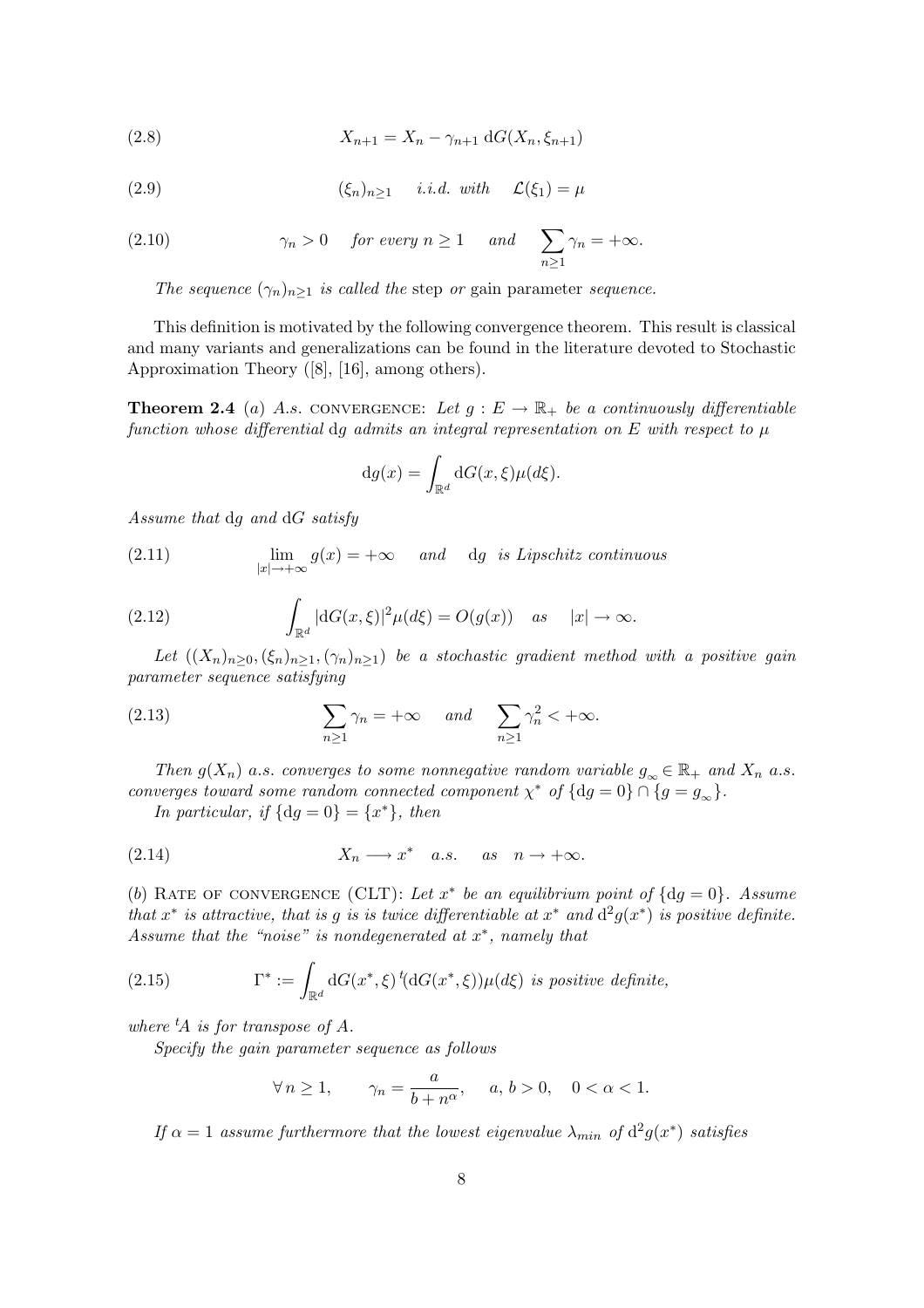(2.8) 
$$
X_{n+1} = X_n - \gamma_{n+1} dG(X_n, \xi_{n+1})
$$

(2.9) 
$$
(\xi_n)_{n\geq 1} \quad i.i.d. \text{ with } \mathcal{L}(\xi_1) = \mu
$$

(2.10) 
$$
\gamma_n > 0
$$
 for every  $n \ge 1$  and  $\sum_{n \ge 1} \gamma_n = +\infty$ .

The sequence  $(\gamma_n)_{n>1}$  is called the step or gain parameter sequence.

This definition is motivated by the following convergence theorem. This result is classical and many variants and generalizations can be found in the literature devoted to Stochastic Approximation Theory ([8], [16], among others).

**Theorem 2.4** (a) A.s. CONVERGENCE: Let  $g : E \to \mathbb{R}_+$  be a continuously differentiable function whose differential dg admits an integral representation on  $E$  with respect to  $\mu$ 

$$
dg(x) = \int_{\mathbb{R}^d} dG(x,\xi)\mu(d\xi).
$$

Assume that dg and dG satisfy

(2.11) 
$$
\lim_{|x| \to +\infty} g(x) = +\infty \quad and \quad dg \text{ is Lipschitz continuous}
$$

(2.12) 
$$
\int_{\mathbb{R}^d} |dG(x,\xi)|^2 \mu(d\xi) = O(g(x)) \quad \text{as} \quad |x| \to \infty.
$$

Let  $((X_n)_{n\geq 0},(\xi_n)_{n\geq 1},(\gamma_n)_{n\geq 1})$  be a stochastic gradient method with a positive gain parameter sequence satisfying

(2.13) 
$$
\sum_{n\geq 1} \gamma_n = +\infty \quad \text{and} \quad \sum_{n\geq 1} \gamma_n^2 < +\infty.
$$

Then  $g(X_n)$  a.s. converges to some nonnegative random variable  $g_\infty \in \mathbb{R}_+$  and  $X_n$  a.s. converges toward some random connected component  $\chi^*$  of  $\{dg = 0\} \cap \{g = g_{\infty}\}.$ 

In particular, if  $\{dg = 0\} = \{x^*\},\$ 

(2.14) 
$$
X_n \longrightarrow x^*
$$
 a.s. as  $n \to +\infty$ .

(b) RATE OF CONVERGENCE (CLT): Let  $x^*$  be an equilibrium point of  $\{dg = 0\}$ . Assume that  $x^*$  is attractive, that is g is is twice differentiable at  $x^*$  and  $d^2g(x^*)$  is positive definite. Assume that the "noise" is nondegenerated at  $x^*$ , namely that

(2.15) 
$$
\Gamma^* := \int_{\mathbb{R}^d} dG(x^*, \xi) \, ^t(dG(x^*, \xi)) \mu(d\xi) \text{ is positive definite,}
$$

where  ${}^t\!A$  is for transpose of A.

Specify the gain parameter sequence as follows

$$
\forall n \ge 1, \qquad \gamma_n = \frac{a}{b + n^{\alpha}}, \quad a, \, b > 0, \quad 0 < \alpha < 1.
$$

If  $\alpha = 1$  assume furthermore that the lowest eigenvalue  $\lambda_{min}$  of  $d^2g(x^*)$  satisfies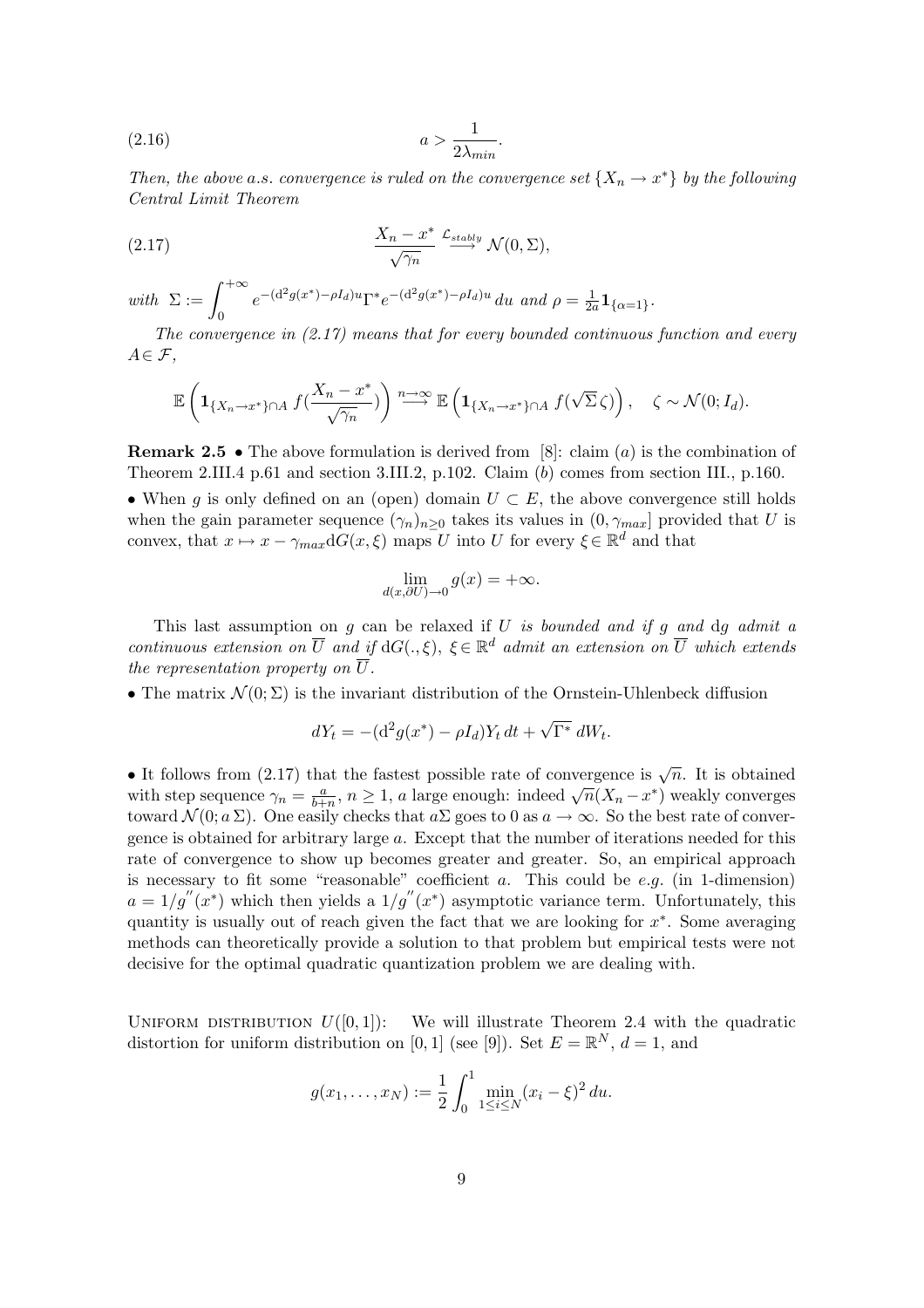$$
(2.16) \t\t a > \frac{1}{2\lambda_{min}}.
$$

Then, the above a.s. convergence is ruled on the convergence set  $\{X_n \to x^*\}$  by the following Central Limit Theorem

(2.17) 
$$
\frac{X_n - x^*}{\sqrt{\gamma_n}} \xrightarrow{\mathcal{L}_{stably}} \mathcal{N}(0, \Sigma),
$$

with  $\Sigma := \int^{+\infty}$ 0  $e^{-(d^2g(x^*)-\rho I_d)u}\Gamma^*e^{-(d^2g(x^*)-\rho I_d)u} du$  and  $\rho=\frac{1}{2\rho}$  $\frac{1}{2a} \mathbf{1}_{\{\alpha=1\}}$  .

The convergence in (2.17) means that for every bounded continuous function and every  $A \in \mathcal{F}$ ,

$$
\mathbb{E}\left(\mathbf{1}_{\{X_n\to x^*\}\cap A} f(\frac{X_n-x^*}{\sqrt{\gamma_n}})\right) \stackrel{n\to\infty}{\longrightarrow} \mathbb{E}\left(\mathbf{1}_{\{X_n\to x^*\}\cap A} f(\sqrt{\Sigma}\,\zeta)\right), \quad \zeta \sim \mathcal{N}(0;I_d).
$$

**Remark 2.5** • The above formulation is derived from [8]: claim (a) is the combination of Theorem 2.III.4 p.61 and section 3.III.2, p.102. Claim (b) comes from section III., p.160.

• When g is only defined on an (open) domain  $U \subset E$ , the above convergence still holds when the gain parameter sequence  $(\gamma_n)_{n>0}$  takes its values in  $(0, \gamma_{max}]$  provided that U is convex, that  $x \mapsto x - \gamma_{max} dG(x, \xi)$  maps U into U for every  $\xi \in \mathbb{R}^d$  and that

$$
\lim_{d(x,\partial U)\to 0} g(x) = +\infty.
$$

This last assumption on  $g$  can be relaxed if  $U$  is bounded and if  $g$  and  $dg$  admit a continuous extension on  $\overline{U}$  and if  $dG(.,\xi), \xi \in \mathbb{R}^d$  admit an extension on  $\overline{U}$  which extends the representation property on  $\overline{U}$ .

• The matrix  $\mathcal{N}(0;\Sigma)$  is the invariant distribution of the Ornstein-Uhlenbeck diffusion

$$
dY_t = -(d^2g(x^*) - \rho I_d)Y_t dt + \sqrt{\Gamma^*} dW_t.
$$

• It follows from (2.17) that the fastest possible rate of convergence is  $\sqrt{n}$ . It is obtained with step sequence  $\gamma_n = \frac{a}{b+1}$  $\frac{a}{b+n}$ ,  $n \geq 1$ , a large enough: indeed  $\sqrt{n}(X_n - x^*)$  weakly converges toward  $\mathcal{N}(0; a \Sigma)$ . One easily checks that  $a \Sigma$  goes to 0 as  $a \to \infty$ . So the best rate of convergence is obtained for arbitrary large a. Except that the number of iterations needed for this rate of convergence to show up becomes greater and greater. So, an empirical approach is necessary to fit some "reasonable" coefficient  $a$ . This could be  $e.g.$  (in 1-dimension)  $a = 1/g''(x^*)$  which then yields a  $1/g''(x^*)$  asymptotic variance term. Unfortunately, this quantity is usually out of reach given the fact that we are looking for  $x^*$ . Some averaging methods can theoretically provide a solution to that problem but empirical tests were not decisive for the optimal quadratic quantization problem we are dealing with.

UNIFORM DISTRIBUTION  $U([0, 1])$ : We will illustrate Theorem 2.4 with the quadratic distortion for uniform distribution on [0, 1] (see [9]). Set  $E = \mathbb{R}^N$ ,  $d = 1$ , and

$$
g(x_1,...,x_N) := \frac{1}{2} \int_0^1 \min_{1 \le i \le N} (x_i - \xi)^2 du.
$$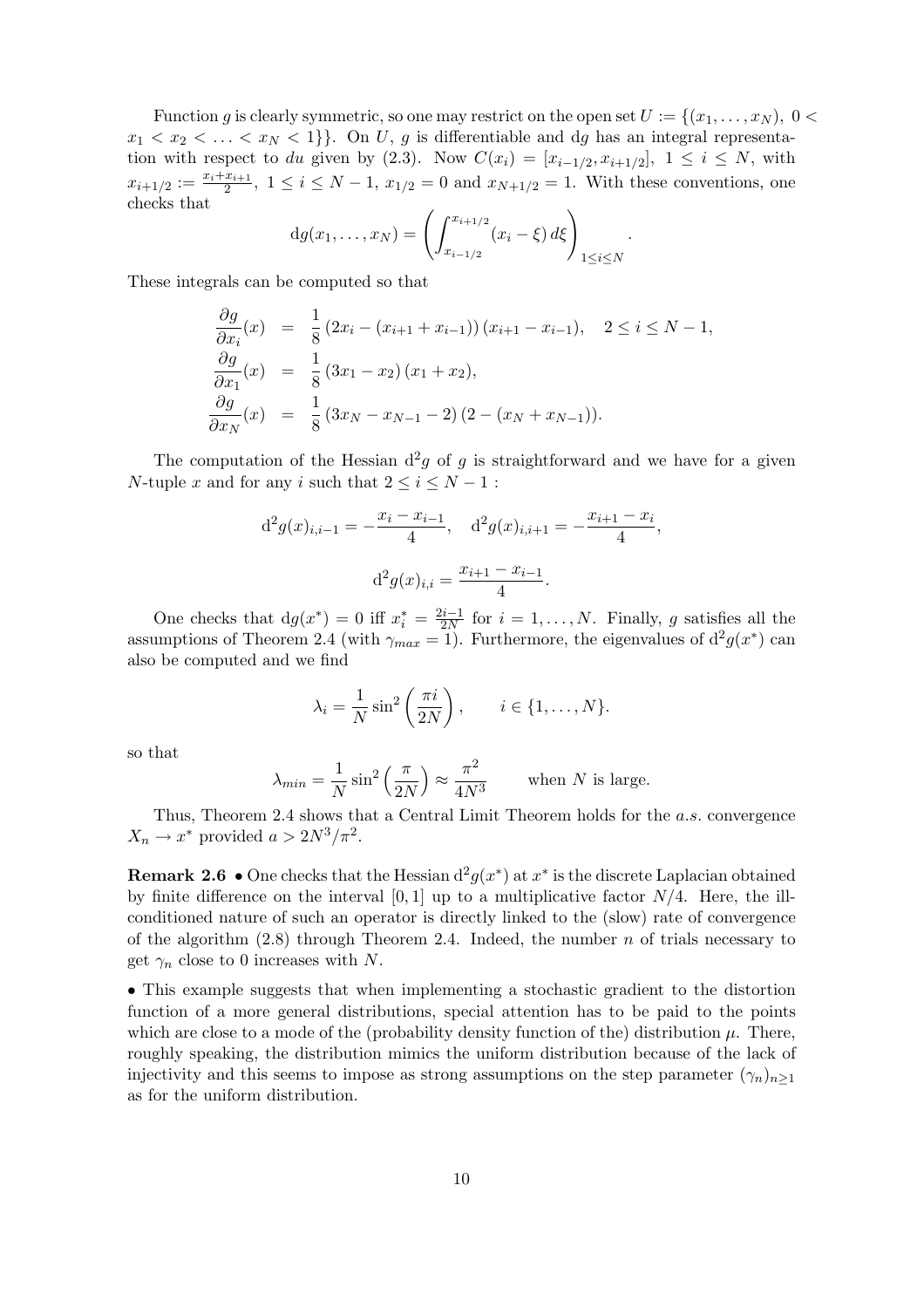Function g is clearly symmetric, so one may restrict on the open set  $U := \{(x_1, \ldots, x_N), 0 \leq \ell\}$  $x_1 < x_2 < \ldots < x_N < 1$ . On U, g is differentiable and dg has an integral representation with respect to du given by (2.3). Now  $C(x_i) = [x_{i-1/2}, x_{i+1/2}], 1 \le i \le N$ , with  $x_{i+1/2} := \frac{x_i + x_{i+1}}{2}$  $\frac{x_{i+1}}{2}$ ,  $1 \leq i \leq N-1$ ,  $x_{1/2} = 0$  and  $x_{N+1/2} = 1$ . With these conventions, one checks that

$$
dg(x_1,...,x_N) = \left(\int_{x_{i-1/2}}^{x_{i+1/2}} (x_i - \xi) d\xi\right)_{1 \leq i \leq N}.
$$

These integrals can be computed so that

$$
\frac{\partial g}{\partial x_i}(x) = \frac{1}{8} (2x_i - (x_{i+1} + x_{i-1})) (x_{i+1} - x_{i-1}), \quad 2 \le i \le N - 1,\n\frac{\partial g}{\partial x_1}(x) = \frac{1}{8} (3x_1 - x_2) (x_1 + x_2),\n\frac{\partial g}{\partial x_N}(x) = \frac{1}{8} (3x_N - x_{N-1} - 2) (2 - (x_N + x_{N-1})).
$$

The computation of the Hessian  $d^2g$  of g is straightforward and we have for a given N-tuple x and for any i such that  $2 \le i \le N - 1$ :

$$
d^{2}g(x)_{i,i-1} = -\frac{x_{i} - x_{i-1}}{4}, \quad d^{2}g(x)_{i,i+1} = -\frac{x_{i+1} - x_{i}}{4},
$$

$$
d^{2}g(x)_{i,i} = \frac{x_{i+1} - x_{i-1}}{4}.
$$

One checks that  $dg(x^*) = 0$  iff  $x_i^* = \frac{2i-1}{2N}$  $\frac{a_{i-1}}{2N}$  for  $i=1,\ldots,N$ . Finally, g satisfies all the assumptions of Theorem 2.4 (with  $\gamma_{max} = 1$ ). Furthermore, the eigenvalues of  $d^2g(x^*)$  can also be computed and we find

$$
\lambda_i = \frac{1}{N} \sin^2 \left( \frac{\pi i}{2N} \right), \qquad i \in \{1, \dots, N\}.
$$

so that

$$
\lambda_{min} = \frac{1}{N} \sin^2 \left(\frac{\pi}{2N}\right) \approx \frac{\pi^2}{4N^3}
$$
 when *N* is large.

Thus, Theorem 2.4 shows that a Central Limit Theorem holds for the a.s. convergence  $X_n \to x^*$  provided  $a > 2N^3/\pi^2$ .

**Remark 2.6** • One checks that the Hessian  $d^2g(x^*)$  at  $x^*$  is the discrete Laplacian obtained by finite difference on the interval  $[0, 1]$  up to a multiplicative factor  $N/4$ . Here, the illconditioned nature of such an operator is directly linked to the (slow) rate of convergence of the algorithm  $(2.8)$  through Theorem 2.4. Indeed, the number n of trials necessary to get  $\gamma_n$  close to 0 increases with N.

• This example suggests that when implementing a stochastic gradient to the distortion function of a more general distributions, special attention has to be paid to the points which are close to a mode of the (probability density function of the) distribution  $\mu$ . There, roughly speaking, the distribution mimics the uniform distribution because of the lack of injectivity and this seems to impose as strong assumptions on the step parameter  $(\gamma_n)_{n\geq 1}$ as for the uniform distribution.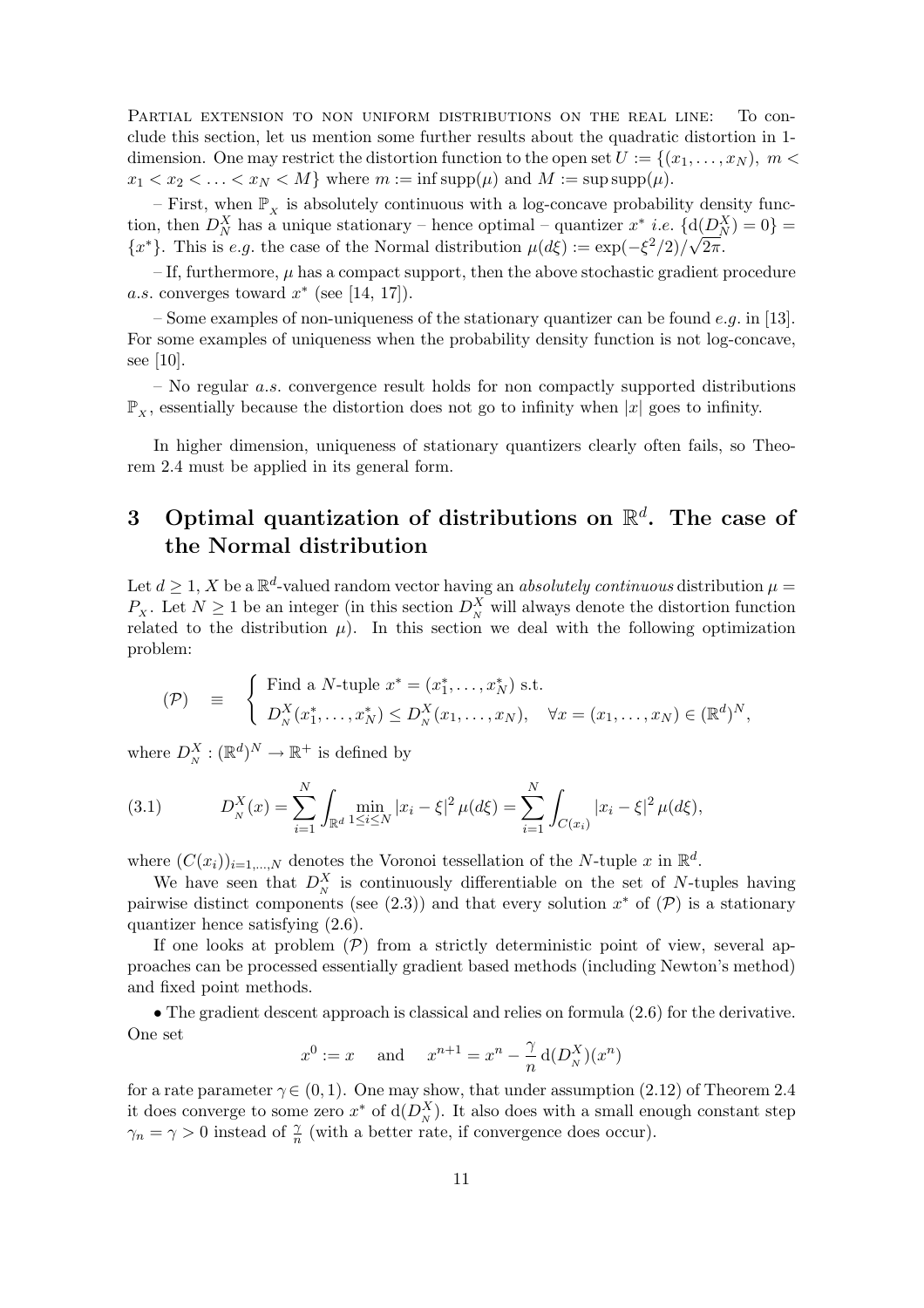PARTIAL EXTENSION TO NON UNIFORM DISTRIBUTIONS ON THE REAL LINE: To conclude this section, let us mention some further results about the quadratic distortion in 1 dimension. One may restrict the distortion function to the open set  $U := \{(x_1, \ldots, x_N), m \leq \}$  $x_1 < x_2 < \ldots < x_N < M$  where  $m := \inf \text{supp}(\mu)$  and  $M := \sup \text{supp}(\mu)$ .

– First, when  $\mathbb{P}_x$  is absolutely continuous with a log-concave probability density function, then  $D_N^X$  has a unique stationary – hence optimal – quantizer  $x^*$  *i.e.*  $\{d(D_N^X) = 0\}$  =  ${x^*}$ . This is e.g. the case of the Normal distribution  $\mu(d\xi) := \exp(-\xi^2/2)/\sqrt{2\pi}$ .

 $-$  If, furthermore,  $\mu$  has a compact support, then the above stochastic gradient procedure a.s. converges toward  $x^*$  (see [14, 17]).

– Some examples of non-uniqueness of the stationary quantizer can be found e.g. in [13]. For some examples of uniqueness when the probability density function is not log-concave, see [10].

 $-$  No regular *a.s.* convergence result holds for non compactly supported distributions  $\mathbb{P}_{Y}$ , essentially because the distortion does not go to infinity when |x| goes to infinity.

In higher dimension, uniqueness of stationary quantizers clearly often fails, so Theorem 2.4 must be applied in its general form.

# 3 Optimal quantization of distributions on  $\mathbb{R}^d$ . The case of the Normal distribution

Let  $d \geq 1$ , X be a  $\mathbb{R}^d$ -valued random vector having an *absolutely continuous* distribution  $\mu =$  $P_X$ . Let  $N \geq 1$  be an integer (in this section  $D_N^X$  will always denote the distortion function related to the distribution  $\mu$ ). In this section we deal with the following optimization problem:

$$
\begin{array}{lll} \text{(P)} & \equiv & \left\{ \begin{array}{l l} \text{Find a $N$-tuple $x^* = (x_1^*, \ldots, x_N^*)$ s.t. } \\ D_N^X(x_1^*, \ldots, x_N^*) \leq D_N^X(x_1, \ldots, x_N), & \forall x = (x_1, \ldots, x_N) \in (\mathbb{R}^d)^N, \end{array} \right. \end{array}
$$

where  $D_N^X : (\mathbb{R}^d)^N \to \mathbb{R}^+$  is defined by

(3.1) 
$$
D_N^X(x) = \sum_{i=1}^N \int_{\mathbb{R}^d} \min_{1 \le i \le N} |x_i - \xi|^2 \, \mu(d\xi) = \sum_{i=1}^N \int_{C(x_i)} |x_i - \xi|^2 \, \mu(d\xi),
$$

where  $(C(x_i))_{i=1,\dots,N}$  denotes the Voronoi tessellation of the N-tuple x in  $\mathbb{R}^d$ .

We have seen that  $D_N^X$  is continuously differentiable on the set of N-tuples having pairwise distinct components (see (2.3)) and that every solution  $x^*$  of  $(\mathcal{P})$  is a stationary quantizer hence satisfying (2.6).

If one looks at problem  $(\mathcal{P})$  from a strictly deterministic point of view, several approaches can be processed essentially gradient based methods (including Newton's method) and fixed point methods.

• The gradient descent approach is classical and relies on formula  $(2.6)$  for the derivative. One set

$$
x^0 := x
$$
 and  $x^{n+1} = x^n - \frac{\gamma}{n} d(D_N^X)(x^n)$ 

for a rate parameter  $\gamma \in (0, 1)$ . One may show, that under assumption (2.12) of Theorem 2.4 it does converge to some zero  $x^*$  of  $d(D_N^X)$ . It also does with a small enough constant step  $\gamma_n = \gamma > 0$  instead of  $\frac{\gamma}{n}$  (with a better rate, if convergence does occur).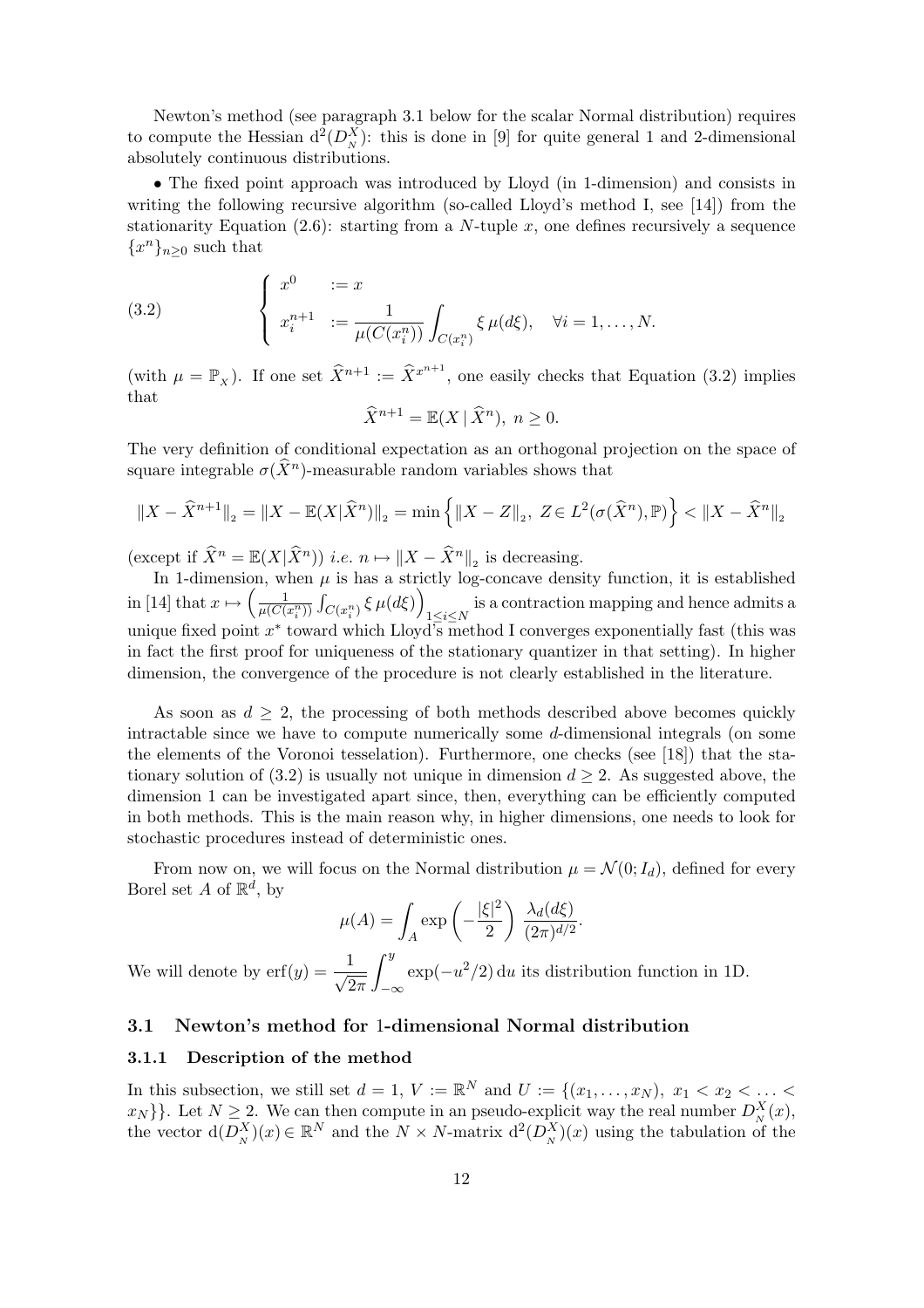Newton's method (see paragraph 3.1 below for the scalar Normal distribution) requires to compute the Hessian  $d^2(D_N^X)$ : this is done in [9] for quite general 1 and 2-dimensional absolutely continuous distributions.

• The fixed point approach was introduced by Lloyd (in 1-dimension) and consists in writing the following recursive algorithm (so-called Lloyd's method I, see [14]) from the stationarity Equation (2.6): starting from a N-tuple x, one defines recursively a sequence  ${x^n}_{n\geq 0}$  such that

(3.2) 
$$
\begin{cases} x^0 &:= x \\ x_i^{n+1} &:= \frac{1}{\mu(C(x_i^n))} \int_{C(x_i^n)} \xi \mu(d\xi), \quad \forall i = 1, ..., N. \end{cases}
$$

(with  $\mu = \mathbb{P}_x$ ). If one set  $\widehat{X}^{n+1} := \widehat{X}^{x^{n+1}}$ , one easily checks that Equation (3.2) implies that

$$
\widehat{X}^{n+1} = \mathbb{E}(X \mid \widehat{X}^n), \ n \ge 0.
$$

The very definition of conditional expectation as an orthogonal projection on the space of square integrable  $\sigma(\widehat{X}^n)$ -measurable random variables shows that

$$
||X - \widehat{X}^{n+1}||_2 = ||X - \mathbb{E}(X|\widehat{X}^n)||_2 = \min\left\{ ||X - Z||_2, Z \in L^2(\sigma(\widehat{X}^n), \mathbb{P}) \right\} < ||X - \widehat{X}^n||_2
$$

(except if  $\widehat{X}^n = \mathbb{E}(X|\widehat{X}^n)$ ) *i.e.*  $n \mapsto ||X - \widehat{X}^n||_2$  is decreasing.

In 1-dimension, when  $\mu$  is has a strictly log-concave density function, it is established in [14] that  $x \mapsto \left(\frac{1}{u(C)}\right)$  $\overline{\mu(C(x_i^n))}$  $\ddot{\phantom{0}}$  $\left[C(x_i^n)\frac{\xi\,\mu(d\xi)}{1\leq i\leq N}\right]_{1\leq i\leq N}$  is a contraction mapping and hence admits a unique fixed point  $x^*$  toward which Lloyd's method I converges exponentially fast (this was in fact the first proof for uniqueness of the stationary quantizer in that setting). In higher dimension, the convergence of the procedure is not clearly established in the literature.

As soon as  $d \geq 2$ , the processing of both methods described above becomes quickly intractable since we have to compute numerically some d-dimensional integrals (on some the elements of the Voronoi tesselation). Furthermore, one checks (see [18]) that the stationary solution of (3.2) is usually not unique in dimension  $d \geq 2$ . As suggested above, the dimension 1 can be investigated apart since, then, everything can be efficiently computed in both methods. This is the main reason why, in higher dimensions, one needs to look for stochastic procedures instead of deterministic ones.

From now on, we will focus on the Normal distribution  $\mu = \mathcal{N}(0; I_d)$ , defined for every Borel set A of  $\mathbb{R}^d$ , by  $\mathbf{r}$ 

$$
\mu(A) = \int_A \exp\left(-\frac{|\xi|^2}{2}\right) \frac{\lambda_d(d\xi)}{(2\pi)^{d/2}}.
$$

We will denote by  $\text{erf}(y) = -\frac{1}{\sqrt{2}}$  $2\pi$ −∞  $\exp(-u^2/2)$  du its distribution function in 1D.

## 3.1 Newton's method for 1-dimensional Normal distribution

#### 3.1.1 Description of the method

In this subsection, we still set  $d = 1, V := \mathbb{R}^N$  and  $U := \{(x_1, \ldots, x_N), x_1 < x_2 < \ldots <$  $\{x_N\}$ . Let  $N \geq 2$ . We can then compute in an pseudo-explicit way the real number  $D_N^X(x)$ , the vector  $d(D_N^X)(x) \in \mathbb{R}^N$  and the  $N \times N$ -matrix  $d^2(D_N^X)(x)$  using the tabulation of the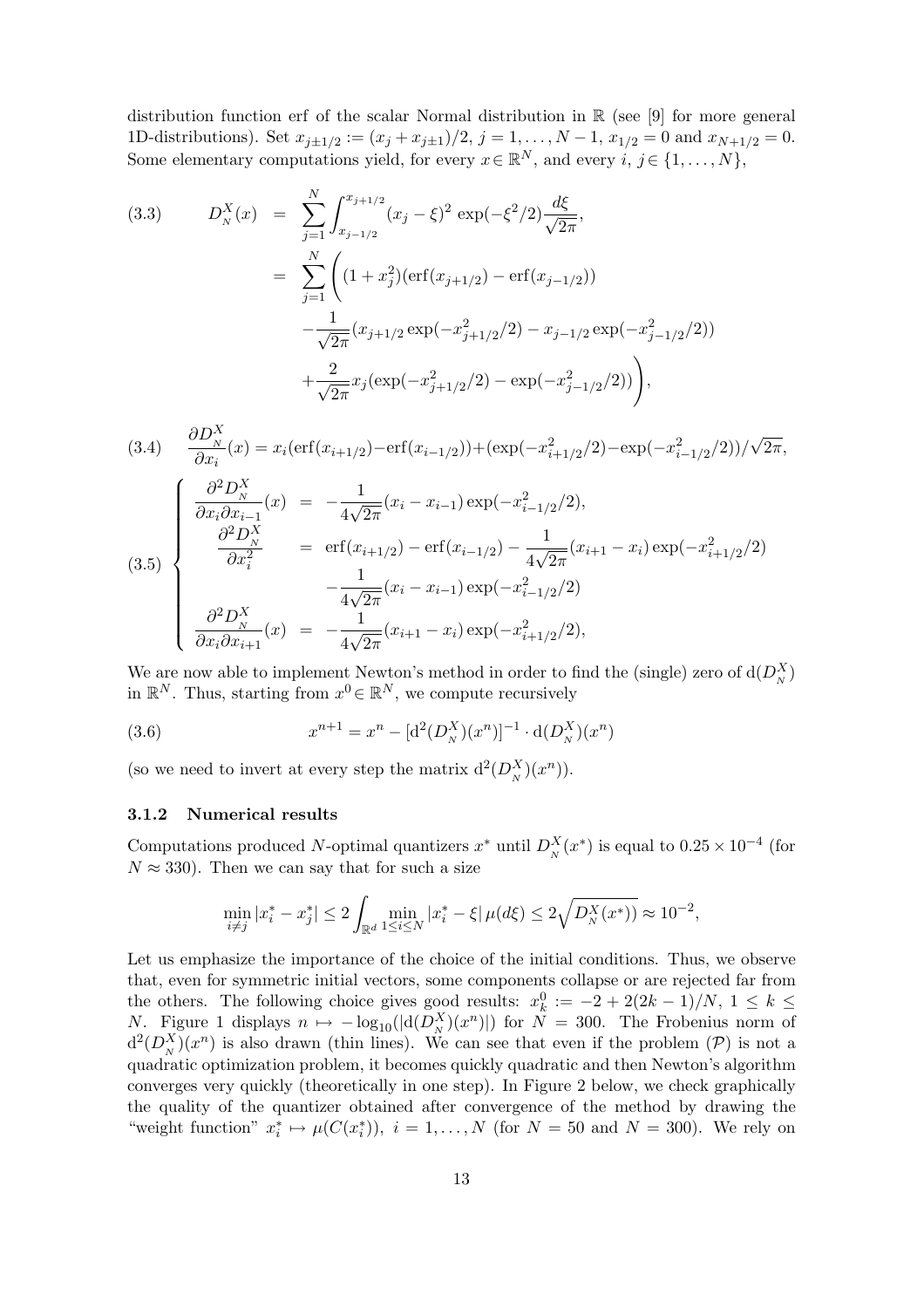distribution function erf of the scalar Normal distribution in  $\mathbb{R}$  (see [9] for more general 1D-distributions). Set  $x_{j\pm 1/2} := (x_j + x_{j\pm 1})/2$ ,  $j = 1, ..., N - 1$ ,  $x_{1/2} = 0$  and  $x_{N+1/2} = 0$ . Some elementary computations yield, for every  $x \in \mathbb{R}^N$ , and every  $i, j \in \{1, ..., N\}$ ,

(3.3) 
$$
D_N^X(x) = \sum_{j=1}^N \int_{x_{j-1/2}}^{x_{j+1/2}} (x_j - \xi)^2 \exp(-\xi^2/2) \frac{d\xi}{\sqrt{2\pi}},
$$
  
\n
$$
= \sum_{j=1}^N \left( (1 + x_j^2) (\operatorname{erf}(x_{j+1/2}) - \operatorname{erf}(x_{j-1/2})) - \frac{1}{\sqrt{2\pi}} (x_{j+1/2} \exp(-x_{j+1/2}^2/2) - x_{j-1/2} \exp(-x_{j-1/2}^2/2)) + \frac{2}{\sqrt{2\pi}} x_j (\exp(-x_{j+1/2}^2/2) - \exp(-x_{j-1/2}^2/2)) \right),
$$

$$
(3.4) \frac{\partial D_{N}^{X}}{\partial x_{i}}(x) = x_{i}(\text{erf}(x_{i+1/2}) - \text{erf}(x_{i-1/2})) + (\exp(-x_{i+1/2}^{2}) - \exp(-x_{i-1/2}^{2}/2))/\sqrt{2\pi},
$$
\n
$$
\frac{\partial^{2} D_{N}^{X}}{\partial x_{i} \partial x_{i-1}}(x) = -\frac{1}{4\sqrt{2\pi}}(x_{i} - x_{i-1}) \exp(-x_{i-1/2}^{2}/2),
$$
\n
$$
\frac{\partial^{2} D_{N}^{X}}{\partial x_{i}^{2}} = \text{erf}(x_{i+1/2}) - \text{erf}(x_{i-1/2}) - \frac{1}{4\sqrt{2\pi}}(x_{i+1} - x_{i}) \exp(-x_{i+1/2}^{2}/2)
$$
\n
$$
-\frac{1}{4\sqrt{2\pi}}(x_{i} - x_{i-1}) \exp(-x_{i-1/2}^{2}/2),
$$
\n
$$
\frac{\partial^{2} D_{N}^{X}}{\partial x_{i} \partial x_{i+1}}(x) = -\frac{1}{4\sqrt{2\pi}}(x_{i+1} - x_{i}) \exp(-x_{i+1/2}^{2}/2),
$$

We are now able to implement Newton's method in order to find the (single) zero of  $d(D_N^X)$ in  $\mathbb{R}^N$ . Thus, starting from  $x^0 \in \mathbb{R}^N$ , we compute recursively

(3.6) 
$$
x^{n+1} = x^n - [d^2(D_N^X)(x^n)]^{-1} \cdot d(D_N^X)(x^n)
$$

(so we need to invert at every step the matrix  $d^2(D_N^X)(x^n)$ ).

#### 3.1.2 Numerical results

Computations produced N-optimal quantizers  $x^*$  until  $D_N^X(x^*)$  is equal to  $0.25 \times 10^{-4}$  (for  $N \approx 330$ . Then we can say that for such a size

$$
\min_{i \neq j}|x^*_i - x^*_j| \leq 2 \int_{\mathbb{R}^d} \min_{1 \leq i \leq N} |x^*_i - \xi| \, \mu(d\xi) \leq 2 \sqrt{D^X_N(x^*)} \approx 10^{-2},
$$

Let us emphasize the importance of the choice of the initial conditions. Thus, we observe that, even for symmetric initial vectors, some components collapse or are rejected far from the others. The following choice gives good results:  $x_k^0 := -2 + 2(2k - 1)/N$ ,  $1 \leq k \leq$ N. Figure 1 displays  $n \mapsto -\log_{10}(|d(D_x^X)(x^n)|)$  for  $N = 300$ . The Frobenius norm of  $d^2(D_N^X)(x^n)$  is also drawn (thin lines). We can see that even if the problem  $(\mathcal{P})$  is not a quadratic optimization problem, it becomes quickly quadratic and then Newton's algorithm converges very quickly (theoretically in one step). In Figure 2 below, we check graphically the quality of the quantizer obtained after convergence of the method by drawing the "weight function"  $x_i^* \mapsto \mu(C(x_i^*)), i = 1, ..., N$  (for  $N = 50$  and  $N = 300$ ). We rely on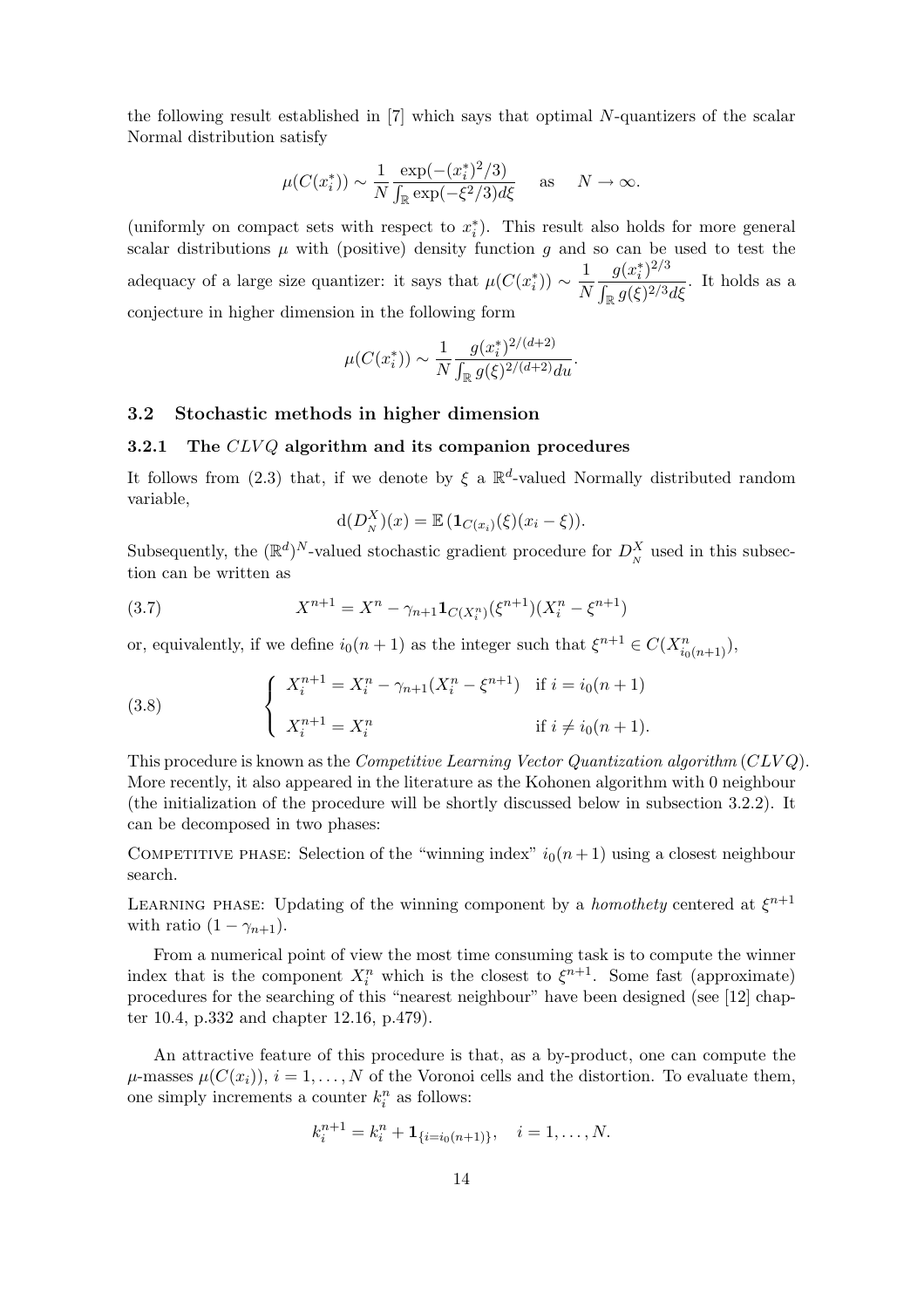the following result established in [7] which says that optimal N-quantizers of the scalar Normal distribution satisfy

$$
\mu(C(x_i^*)) \sim \frac{1}{N} \frac{\exp(-(x_i^*)^2/3)}{\int_{\mathbb{R}} \exp(-\xi^2/3) d\xi} \quad \text{as} \quad N \to \infty.
$$

(uniformly on compact sets with respect to  $x_i^*$ ). This result also holds for more general scalar distributions  $\mu$  with (positive) density function g and so can be used to test the adequacy of a large size quantizer: it says that  $\mu(C(x_i^*)) \sim \frac{1}{N}$ N  $g(x_i^*)^{2/3}$  $\overline{a}$  $\frac{g(x_i)}{\log g(\xi)^{2/3}d\xi}$ . It holds as a conjecture in higher dimension in the following form

$$
\mu(C(x_i^*)) \sim \frac{1}{N} \frac{g(x_i^*)^{2/(d+2)}}{\int_{\mathbb{R}} g(\xi)^{2/(d+2)} du}.
$$

### 3.2 Stochastic methods in higher dimension

#### 3.2.1 The  $CLVQ$  algorithm and its companion procedures

It follows from (2.3) that, if we denote by  $\xi$  a  $\mathbb{R}^d$ -valued Normally distributed random variable,

$$
d(D_N^X)(x) = \mathbb{E} \left( \mathbf{1}_{C(x_i)}(\xi)(x_i - \xi) \right).
$$

Subsequently, the  $(\mathbb{R}^d)^N$ -valued stochastic gradient procedure for  $D_N^X$  used in this subsection can be written as

(3.7) 
$$
X^{n+1} = X^n - \gamma_{n+1} \mathbf{1}_{C(X_i^n)}(\xi^{n+1}) (X_i^n - \xi^{n+1})
$$

or, equivalently, if we define  $i_0(n+1)$  as the integer such that  $\xi^{n+1} \in C(X_{i_0(n+1)}^n)$ ,

(3.8) 
$$
\begin{cases} X_i^{n+1} = X_i^n - \gamma_{n+1}(X_i^n - \xi^{n+1}) & \text{if } i = i_0(n+1) \\ X_i^{n+1} = X_i^n & \text{if } i \neq i_0(n+1). \end{cases}
$$

This procedure is known as the Competitive Learning Vector Quantization algorithm (CLV Q). More recently, it also appeared in the literature as the Kohonen algorithm with 0 neighbour (the initialization of the procedure will be shortly discussed below in subsection 3.2.2). It can be decomposed in two phases:

COMPETITIVE PHASE: Selection of the "winning index"  $i_0(n+1)$  using a closest neighbour search.

LEARNING PHASE: Updating of the winning component by a *homothety* centered at  $\xi^{n+1}$ with ratio  $(1 - \gamma_{n+1})$ .

From a numerical point of view the most time consuming task is to compute the winner index that is the component  $X_i^n$  which is the closest to  $\xi^{n+1}$ . Some fast (approximate) procedures for the searching of this "nearest neighbour" have been designed (see [12] chapter 10.4, p.332 and chapter 12.16, p.479).

An attractive feature of this procedure is that, as a by-product, one can compute the  $\mu$ -masses  $\mu(C(x_i))$ ,  $i = 1, ..., N$  of the Voronoi cells and the distortion. To evaluate them, one simply increments a counter  $k_i^n$  as follows:

$$
k_i^{n+1} = k_i^n + \mathbf{1}_{\{i=i_0(n+1)\}}, \quad i = 1, \dots, N.
$$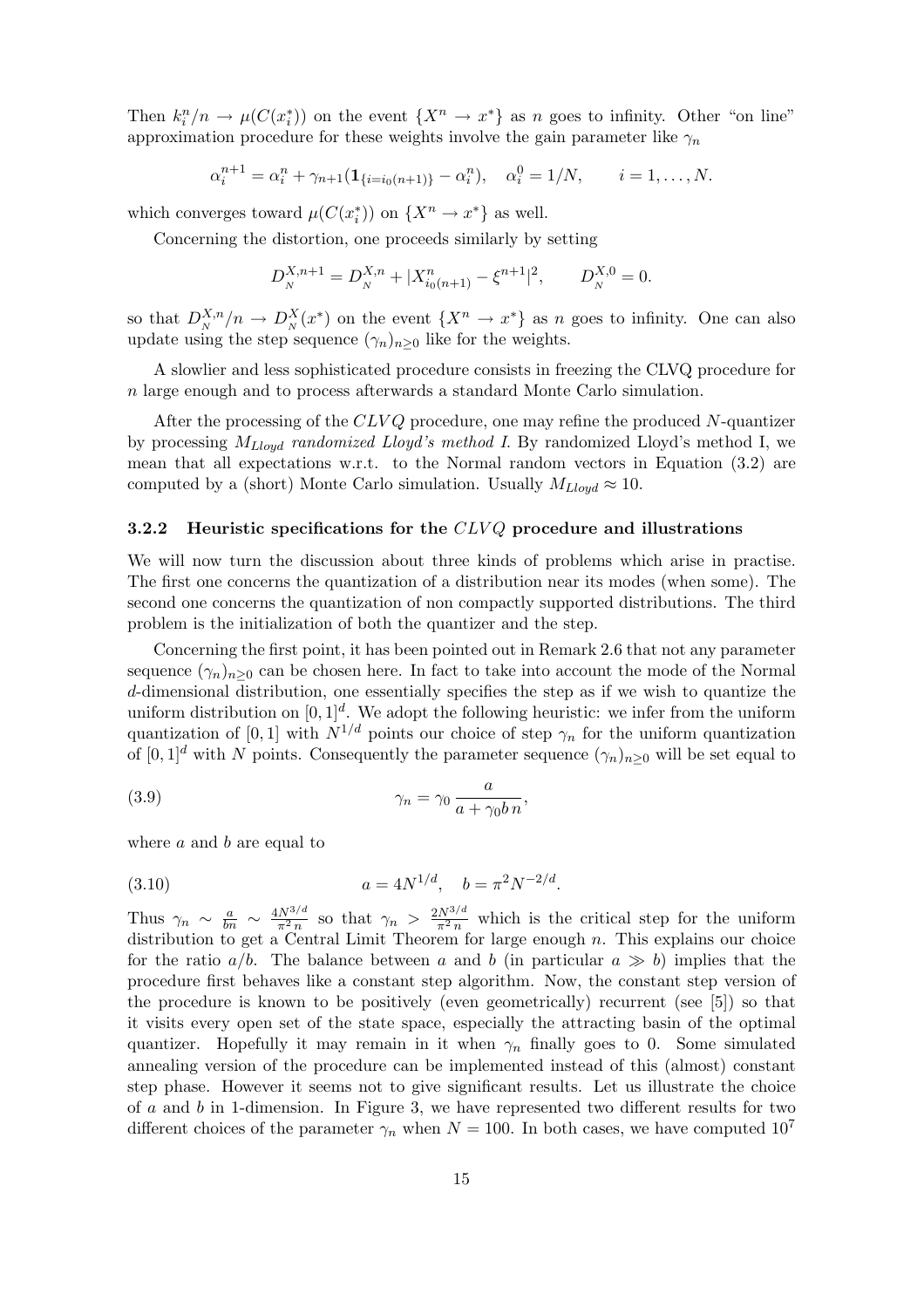Then  $k_i^n/n \to \mu(C(x_i^*))$  on the event  $\{X^n \to x^*\}$  as n goes to infinity. Other "on line" approximation procedure for these weights involve the gain parameter like  $\gamma_n$ 

$$
\alpha_i^{n+1} = \alpha_i^n + \gamma_{n+1}(\mathbf{1}_{\{i=i_0(n+1)\}} - \alpha_i^n), \quad \alpha_i^0 = 1/N, \qquad i = 1, \dots, N.
$$

which converges toward  $\mu(C(x_i^*))$  on  $\{X^n \to x^*\}$  as well.

Concerning the distortion, one proceeds similarly by setting

$$
D_N^{X,n+1} = D_N^{X,n} + |X_{i_0(n+1)}^n - \xi^{n+1}|^2, \qquad D_N^{X,0} = 0.
$$

so that  $D_N^{X,n}/n \to D_N^X(x^*)$  on the event  $\{X^n \to x^*\}$  as n goes to infinity. One can also update using the step sequence  $(\gamma_n)_{n\geq 0}$  like for the weights.

A slowlier and less sophisticated procedure consists in freezing the CLVQ procedure for n large enough and to process afterwards a standard Monte Carlo simulation.

After the processing of the  $CLVQ$  procedure, one may refine the produced N-quantizer by processing  $M_{Lloud}$  randomized Lloyd's method I. By randomized Lloyd's method I, we mean that all expectations w.r.t. to the Normal random vectors in Equation (3.2) are computed by a (short) Monte Carlo simulation. Usually  $M_{\text{Lloud}} \approx 10$ .

#### 3.2.2 Heuristic specifications for the  $CLVQ$  procedure and illustrations

We will now turn the discussion about three kinds of problems which arise in practise. The first one concerns the quantization of a distribution near its modes (when some). The second one concerns the quantization of non compactly supported distributions. The third problem is the initialization of both the quantizer and the step.

Concerning the first point, it has been pointed out in Remark 2.6 that not any parameter sequence  $(\gamma_n)_{n\geq 0}$  can be chosen here. In fact to take into account the mode of the Normal d-dimensional distribution, one essentially specifies the step as if we wish to quantize the uniform distribution on  $[0,1]^d$ . We adopt the following heuristic: we infer from the uniform quantization of [0, 1] with  $N^{1/d}$  points our choice of step  $\gamma_n$  for the uniform quantization of  $[0,1]^d$  with N points. Consequently the parameter sequence  $(\gamma_n)_{n>0}$  will be set equal to

(3.9) 
$$
\gamma_n = \gamma_0 \frac{a}{a + \gamma_0 b n},
$$

where  $a$  and  $b$  are equal to

(3.10) 
$$
a = 4N^{1/d}, \quad b = \pi^2 N^{-2/d}.
$$

Thus  $\gamma_n \sim \frac{a}{bn} \sim \frac{4N^{3/d}}{\pi^2 n}$  $\frac{N^{3/d}}{\pi^2 n}$  so that  $\gamma_n > \frac{2N^{3/d}}{\pi^2 n}$  $\frac{N^{3/4}}{\pi^2 n}$  which is the critical step for the uniform distribution to get a Central Limit Theorem for large enough  $n$ . This explains our choice for the ratio  $a/b$ . The balance between a and b (in particular  $a \gg b$ ) implies that the procedure first behaves like a constant step algorithm. Now, the constant step version of the procedure is known to be positively (even geometrically) recurrent (see [5]) so that it visits every open set of the state space, especially the attracting basin of the optimal quantizer. Hopefully it may remain in it when  $\gamma_n$  finally goes to 0. Some simulated annealing version of the procedure can be implemented instead of this (almost) constant step phase. However it seems not to give significant results. Let us illustrate the choice of  $a$  and  $b$  in 1-dimension. In Figure 3, we have represented two different results for two different choices of the parameter  $\gamma_n$  when  $N = 100$ . In both cases, we have computed  $10^7$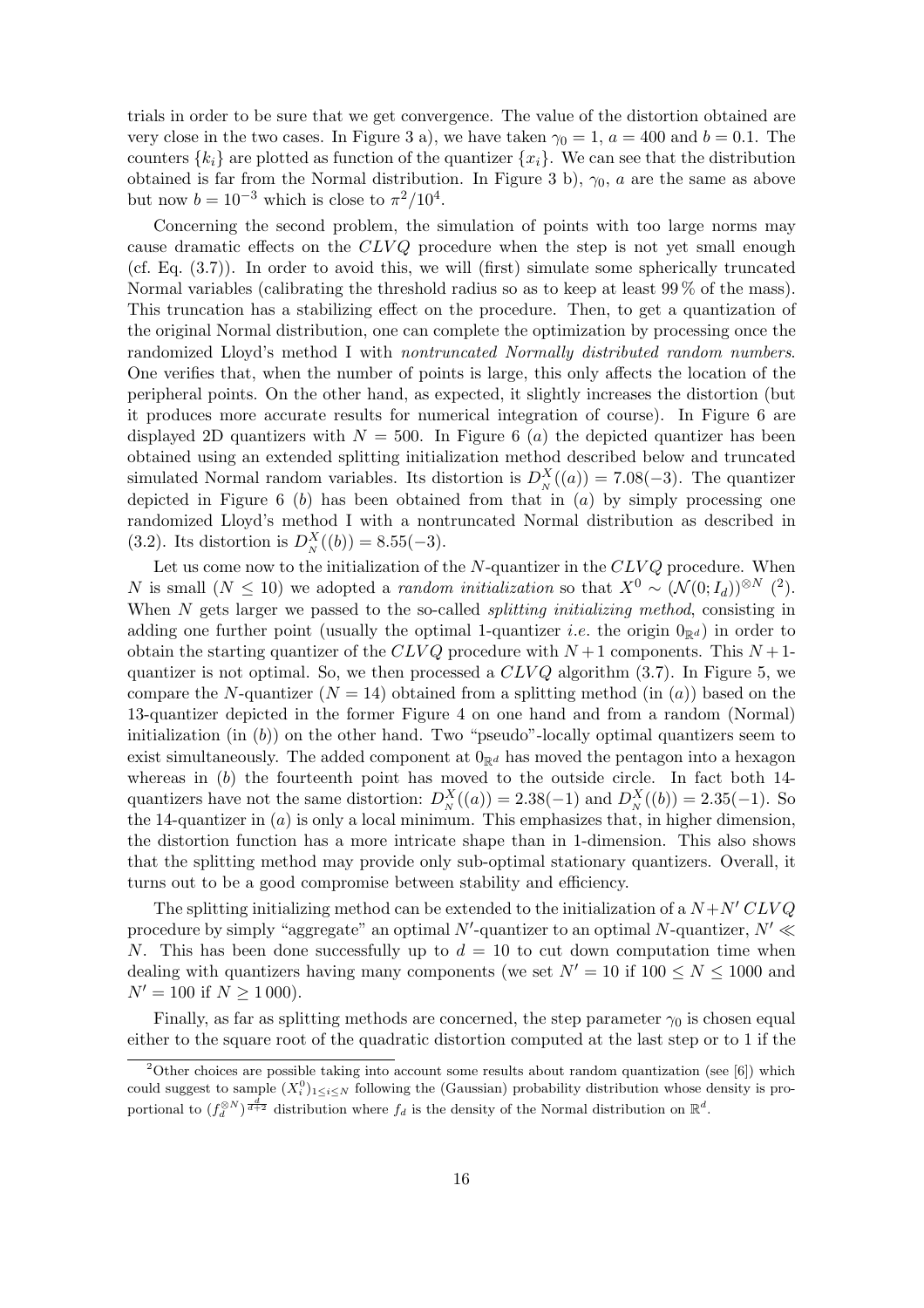trials in order to be sure that we get convergence. The value of the distortion obtained are very close in the two cases. In Figure 3 a), we have taken  $\gamma_0 = 1$ ,  $a = 400$  and  $b = 0.1$ . The counters  $\{k_i\}$  are plotted as function of the quantizer  $\{x_i\}$ . We can see that the distribution obtained is far from the Normal distribution. In Figure 3 b),  $\gamma_0$ , a are the same as above but now  $b = 10^{-3}$  which is close to  $\pi^2/10^4$ .

Concerning the second problem, the simulation of points with too large norms may cause dramatic effects on the  $CLVQ$  procedure when the step is not yet small enough (cf. Eq. (3.7)). In order to avoid this, we will (first) simulate some spherically truncated Normal variables (calibrating the threshold radius so as to keep at least 99 % of the mass). This truncation has a stabilizing effect on the procedure. Then, to get a quantization of the original Normal distribution, one can complete the optimization by processing once the randomized Lloyd's method I with nontruncated Normally distributed random numbers. One verifies that, when the number of points is large, this only affects the location of the peripheral points. On the other hand, as expected, it slightly increases the distortion (but it produces more accurate results for numerical integration of course). In Figure 6 are displayed 2D quantizers with  $N = 500$ . In Figure 6 (a) the depicted quantizer has been obtained using an extended splitting initialization method described below and truncated simulated Normal random variables. Its distortion is  $D_N^X((a)) = 7.08(-3)$ . The quantizer depicted in Figure 6 (b) has been obtained from that in  $(a)$  by simply processing one randomized Lloyd's method I with a nontruncated Normal distribution as described in (3.2). Its distortion is  $D_N^X((b)) = 8.55(-3)$ .

Let us come now to the initialization of the  $N$ -quantizer in the  $CLVQ$  procedure. When N is small  $(N \leq 10)$  we adopted a *random initialization* so that  $X^0 \sim (\mathcal{N}(0; I_d))^{\otimes N}$  (<sup>2</sup>). When N gets larger we passed to the so-called *splitting initializing method*, consisting in adding one further point (usually the optimal 1-quantizer *i.e.* the origin  $0_{\mathbb{R}^d}$ ) in order to obtain the starting quantizer of the CLVQ procedure with  $N+1$  components. This  $N+1$ quantizer is not optimal. So, we then processed a  $CLVQ$  algorithm (3.7). In Figure 5, we compare the N-quantizer  $(N = 14)$  obtained from a splitting method (in (a)) based on the 13-quantizer depicted in the former Figure 4 on one hand and from a random (Normal) initialization (in  $(b)$ ) on the other hand. Two "pseudo"-locally optimal quantizers seem to exist simultaneously. The added component at  $0_{\mathbb{R}^d}$  has moved the pentagon into a hexagon whereas in  $(b)$  the fourteenth point has moved to the outside circle. In fact both 14quantizers have not the same distortion:  $D_N^X((a)) = 2.38(-1)$  and  $D_N^X((b)) = 2.35(-1)$ . So the 14-quantizer in  $(a)$  is only a local minimum. This emphasizes that, in higher dimension, the distortion function has a more intricate shape than in 1-dimension. This also shows that the splitting method may provide only sub-optimal stationary quantizers. Overall, it turns out to be a good compromise between stability and efficiency.

The splitting initializing method can be extended to the initialization of a  $N + N' CLV Q$ procedure by simply "aggregate" an optimal N'-quantizer to an optimal N-quantizer,  $N' \ll$ N. This has been done successfully up to  $d = 10$  to cut down computation time when dealing with quantizers having many components (we set  $N' = 10$  if  $100 \le N \le 1000$  and  $N' = 100$  if  $N \ge 1000$ ).

Finally, as far as splitting methods are concerned, the step parameter  $\gamma_0$  is chosen equal either to the square root of the quadratic distortion computed at the last step or to 1 if the

<sup>&</sup>lt;sup>2</sup>Other choices are possible taking into account some results about random quantization (see [6]) which could suggest to sample  $(X_i^0)_{1\leq i\leq N}$  following the (Gaussian) probability distribution whose density is proportional to  $(f_d^{\otimes N})^{\frac{d}{d+2}}$  distribution where  $f_d$  is the density of the Normal distribution on  $\mathbb{R}^d$ .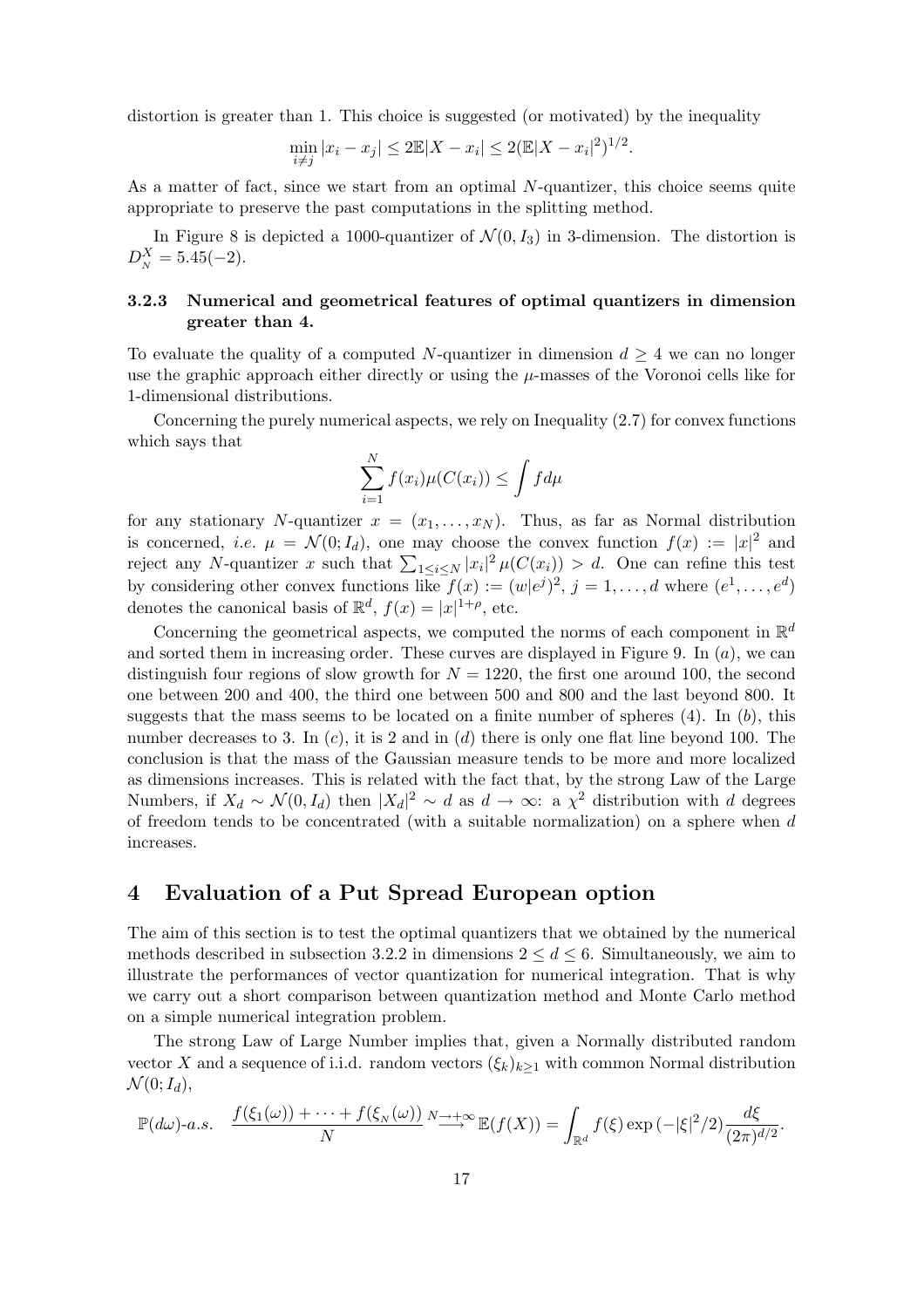distortion is greater than 1. This choice is suggested (or motivated) by the inequality

$$
\min_{i \neq j} |x_i - x_j| \leq 2\mathbb{E}|X - x_i| \leq 2(\mathbb{E}|X - x_i|^2)^{1/2}.
$$

As a matter of fact, since we start from an optimal N-quantizer, this choice seems quite appropriate to preserve the past computations in the splitting method.

In Figure 8 is depicted a 1000-quantizer of  $\mathcal{N}(0, I_3)$  in 3-dimension. The distortion is  $D_N^X = 5.45(-2).$ 

## 3.2.3 Numerical and geometrical features of optimal quantizers in dimension greater than 4.

To evaluate the quality of a computed N-quantizer in dimension  $d \geq 4$  we can no longer use the graphic approach either directly or using the  $\mu$ -masses of the Voronoi cells like for 1-dimensional distributions.

Concerning the purely numerical aspects, we rely on Inequality  $(2.7)$  for convex functions which says that

$$
\sum_{i=1}^{N} f(x_i)\mu(C(x_i)) \le \int f d\mu
$$

for any stationary N-quantizer  $x = (x_1, \ldots, x_N)$ . Thus, as far as Normal distribution is concerned, *i.e.*  $\mu = \mathcal{N}(0; I_d)$ , one may choose the convex function  $f(x) := |x|^2$  and is concerned, *i.e.*  $\mu = N(0, I_d)$ , one may choose the convex function  $f(x) := |x|$  and reject any N-quantizer x such that  $\sum_{1 \leq i \leq N} |x_i|^2 \mu(C(x_i)) > d$ . One can refine this test by considering other convex functions like  $f(x) := (w|e^j)^2$ ,  $j = 1, ..., d$  where  $(e^1, ..., e^d)$ denotes the canonical basis of  $\mathbb{R}^d$ ,  $f(x) = |x|^{1+\rho}$ , etc.

Concerning the geometrical aspects, we computed the norms of each component in  $\mathbb{R}^d$ and sorted them in increasing order. These curves are displayed in Figure 9. In  $(a)$ , we can distinguish four regions of slow growth for  $N = 1220$ , the first one around 100, the second one between 200 and 400, the third one between 500 and 800 and the last beyond 800. It suggests that the mass seems to be located on a finite number of spheres  $(4)$ . In  $(b)$ , this number decreases to 3. In  $(c)$ , it is 2 and in  $(d)$  there is only one flat line beyond 100. The conclusion is that the mass of the Gaussian measure tends to be more and more localized as dimensions increases. This is related with the fact that, by the strong Law of the Large Numbers, if  $X_d \sim \mathcal{N}(0, I_d)$  then  $|X_d|^2 \sim d$  as  $d \to \infty$ : a  $\chi^2$  distribution with d degrees of freedom tends to be concentrated (with a suitable normalization) on a sphere when d increases.

# 4 Evaluation of a Put Spread European option

The aim of this section is to test the optimal quantizers that we obtained by the numerical methods described in subsection 3.2.2 in dimensions  $2 \leq d \leq 6$ . Simultaneously, we aim to illustrate the performances of vector quantization for numerical integration. That is why we carry out a short comparison between quantization method and Monte Carlo method on a simple numerical integration problem.

The strong Law of Large Number implies that, given a Normally distributed random vector X and a sequence of i.i.d. random vectors  $(\xi_k)_{k\geq 1}$  with common Normal distribution  $\mathcal{N}(0; I_d),$ 

$$
\mathbb{P}(d\omega)\text{-}a.s.\quad \frac{f(\xi_1(\omega))+\cdots+f(\xi_N(\omega))}{N}\stackrel{N\to+\infty}{\longrightarrow}\mathbb{E}(f(X))=\int_{\mathbb{R}^d}f(\xi)\exp\left(-|\xi|^2/2\right)\frac{d\xi}{(2\pi)^{d/2}}.
$$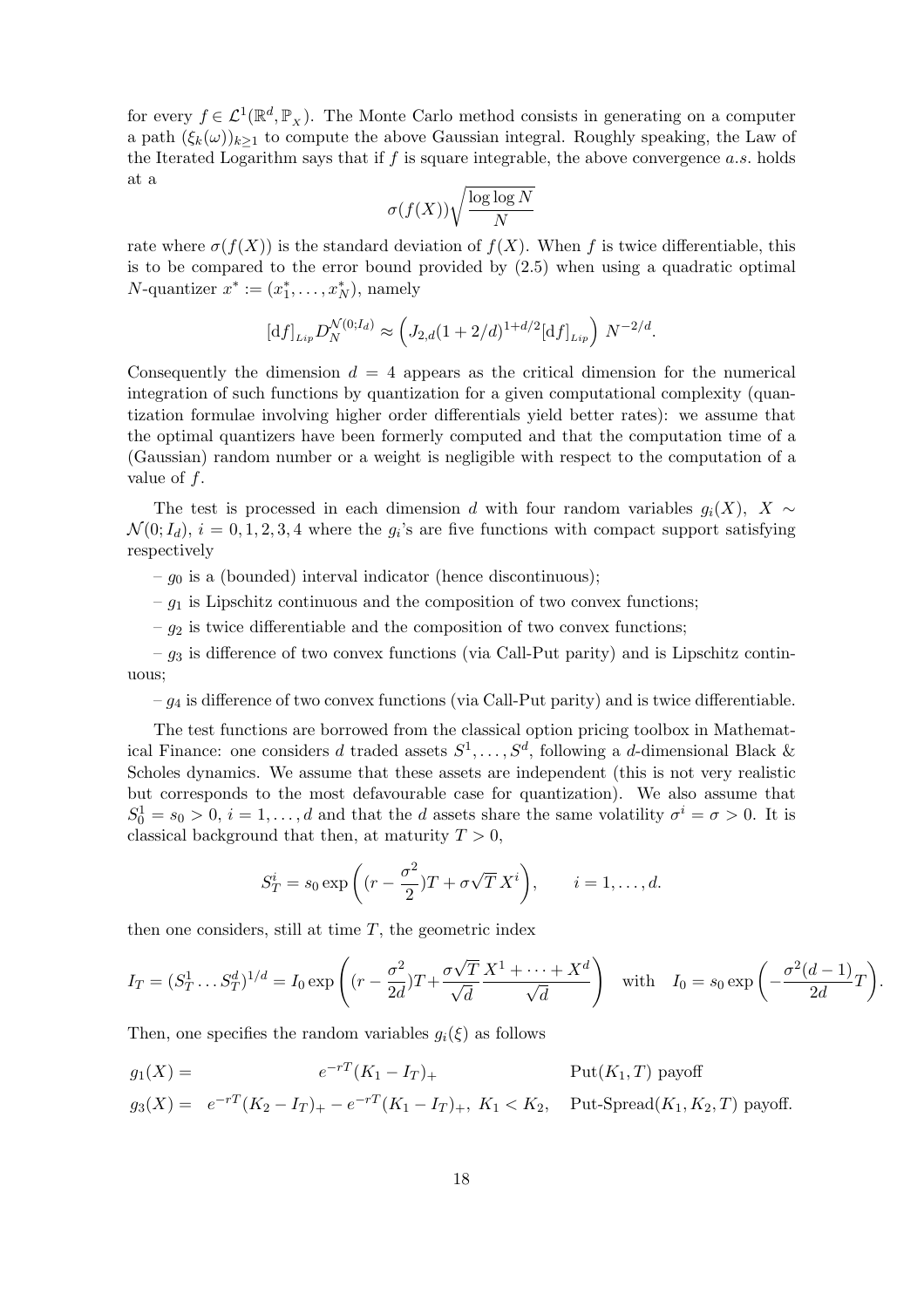for every  $f \in \mathcal{L}^1(\mathbb{R}^d, \mathbb{P}_x)$ . The Monte Carlo method consists in generating on a computer a path  $(\xi_k(\omega))_{k\geq 1}$  to compute the above Gaussian integral. Roughly speaking, the Law of the Iterated Logarithm says that if  $f$  is square integrable, the above convergence  $a.s.$  holds at a

$$
\sigma(f(X))\sqrt{\frac{\log\log N}{N}}
$$

rate where  $\sigma(f(X))$  is the standard deviation of  $f(X)$ . When f is twice differentiable, this is to be compared to the error bound provided by (2.5) when using a quadratic optimal N-quantizer  $x^* := (x_1^*, \ldots, x_N^*)$ , namely

$$
[df]_{Lip} D_N^{\mathcal{N}(0;I_d)} \approx \left( J_{2,d} (1 + 2/d)^{1 + d/2} [df]_{Lip} \right) N^{-2/d}.
$$

Consequently the dimension  $d = 4$  appears as the critical dimension for the numerical integration of such functions by quantization for a given computational complexity (quantization formulae involving higher order differentials yield better rates): we assume that the optimal quantizers have been formerly computed and that the computation time of a (Gaussian) random number or a weight is negligible with respect to the computation of a value of  $f$ .

The test is processed in each dimension d with four random variables  $q_i(X)$ ,  $X \sim$  $\mathcal{N}(0;I_d)$ ,  $i=0,1,2,3,4$  where the  $g_i$ 's are five functions with compact support satisfying respectively

 $-g_0$  is a (bounded) interval indicator (hence discontinuous);

 $-g_1$  is Lipschitz continuous and the composition of two convex functions;

 $-g_2$  is twice differentiable and the composition of two convex functions;

–  $g_3$  is difference of two convex functions (via Call-Put parity) and is Lipschitz continuous;

 $-g_4$  is difference of two convex functions (via Call-Put parity) and is twice differentiable.

The test functions are borrowed from the classical option pricing toolbox in Mathematical Finance: one considers d traded assets  $S^1, \ldots, S^d$ , following a d-dimensional Black & Scholes dynamics. We assume that these assets are independent (this is not very realistic but corresponds to the most defavourable case for quantization). We also assume that  $S_0^1 = s_0 > 0$ ,  $i = 1, ..., d$  and that the d assets share the same volatility  $\sigma^i = \sigma > 0$ . It is classical background that then, at maturity  $T > 0$ ,

$$
S_T^i = s_0 \exp\left((r - \frac{\sigma^2}{2})T + \sigma\sqrt{T}X^i\right), \qquad i = 1, \dots, d.
$$

then one considers, still at time  $T$ , the geometric index

$$
I_T = (S_T^1 \dots S_T^d)^{1/d} = I_0 \exp\left((r - \frac{\sigma^2}{2d})T + \frac{\sigma\sqrt{T}}{\sqrt{d}} \frac{X^1 + \dots + X^d}{\sqrt{d}}\right) \quad \text{with} \quad I_0 = s_0 \exp\left(-\frac{\sigma^2(d-1)}{2d}T\right)
$$

.

Then, one specifies the random variables  $q_i(\xi)$  as follows

$$
g_1(X) = e^{-rT}(K_1 - I_T)
$$
Put $(K_1, T)$ payoff  

$$
g_3(X) = e^{-rT}(K_2 - I_T)_+ - e^{-rT}(K_1 - I_T)_+, K_1 < K_2,
$$
Put-Spread $(K_1, K_2, T)$ payoff.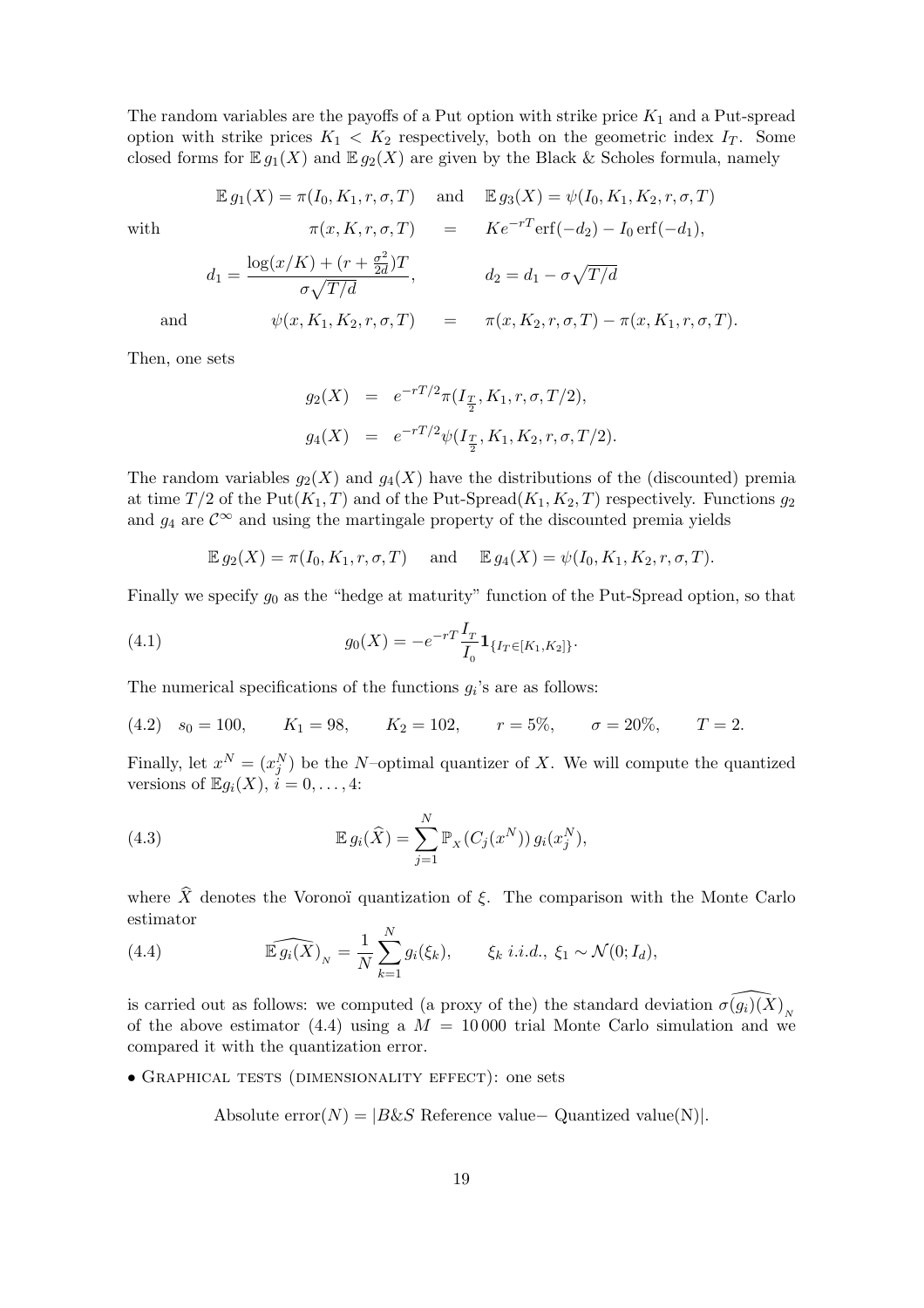The random variables are the payoffs of a Put option with strike price  $K_1$  and a Put-spread option with strike prices  $K_1 < K_2$  respectively, both on the geometric index  $I_T$ . Some closed forms for  $\mathbb{E} g_1(X)$  and  $\mathbb{E} g_2(X)$  are given by the Black & Scholes formula, namely

$$
\mathbb{E} g_1(X) = \pi(I_0, K_1, r, \sigma, T) \quad \text{ and } \quad \mathbb{E} g_3(X) = \psi(I_0, K_1, K_2, r, \sigma, T)
$$

with 
$$
\pi(x, K, r, \sigma, T) = Ke^{-rT}\text{erf}(-d_2) - I_0 \text{erf}(-d_1),
$$
  
\n $d_1 = \frac{\log(x/K) + (r + \frac{\sigma^2}{2d})T}{\sigma\sqrt{T/d}}, \qquad d_2 = d_1 - \sigma\sqrt{T/d}$   
\nand  $\psi(x, K_1, K_2, r, \sigma, T) = \pi(x, K_2, r, \sigma, T) - \pi(x, K_1, r, \sigma, T).$ 

Then, one sets

$$
g_2(X) = e^{-rT/2}\pi(I_{\frac{T}{2}}, K_1, r, \sigma, T/2),
$$
  

$$
g_4(X) = e^{-rT/2}\psi(I_{\frac{T}{2}}, K_1, K_2, r, \sigma, T/2).
$$

The random variables  $g_2(X)$  and  $g_4(X)$  have the distributions of the (discounted) premia at time  $T/2$  of the Put( $K_1, T$ ) and of the Put-Spread( $K_1, K_2, T$ ) respectively. Functions  $g_2$ and  $g_4$  are  $\mathcal{C}^{\infty}$  and using the martingale property of the discounted premia yields

$$
\mathbb{E} g_2(X) = \pi(I_0, K_1, r, \sigma, T) \quad \text{and} \quad \mathbb{E} g_4(X) = \psi(I_0, K_1, K_2, r, \sigma, T).
$$

Finally we specify  $g_0$  as the "hedge at maturity" function of the Put-Spread option, so that

(4.1) 
$$
g_0(X) = -e^{-rT} \frac{I_T}{I_0} \mathbf{1}_{\{I_T \in [K_1, K_2]\}}.
$$

The numerical specifications of the functions  $g_i$ 's are as follows:

(4.2) 
$$
s_0 = 100
$$
,  $K_1 = 98$ ,  $K_2 = 102$ ,  $r = 5\%$ ,  $\sigma = 20\%$ ,  $T = 2$ .

Finally, let  $x^N = (x_j^N)$  be the N-optimal quantizer of X. We will compute the quantized versions of  $\mathbb{E} g_i(X)$ ,  $i = 0, \ldots, 4$ :

(4.3) 
$$
\mathbb{E} g_i(\widehat{X}) = \sum_{j=1}^N \mathbb{P}_X(C_j(x^N)) g_i(x_j^N),
$$

where  $\hat{X}$  denotes the Voronoï quantization of  $\xi$ . The comparison with the Monte Carlo estimator  $\ddot{\phantom{a}}$ 

(4.4) 
$$
\widehat{\mathbb{E} g_i(X)}_N = \frac{1}{N} \sum_{k=1}^N g_i(\xi_k), \qquad \xi_k \ i.i.d., \ \xi_1 \sim \mathcal{N}(0; I_d),
$$

is carried out as follows: we computed (a proxy of the) the standard deviation  $\widehat{\sigma(g_i)(X)}_N$ of the above estimator (4.4) using a  $M = 10000$  trial Monte Carlo simulation and we compared it with the quantization error.

• Graphical tests (dimensionality effect): one sets

Absolute  $error(N) = |B\&S$  Reference value– Quantized value(N).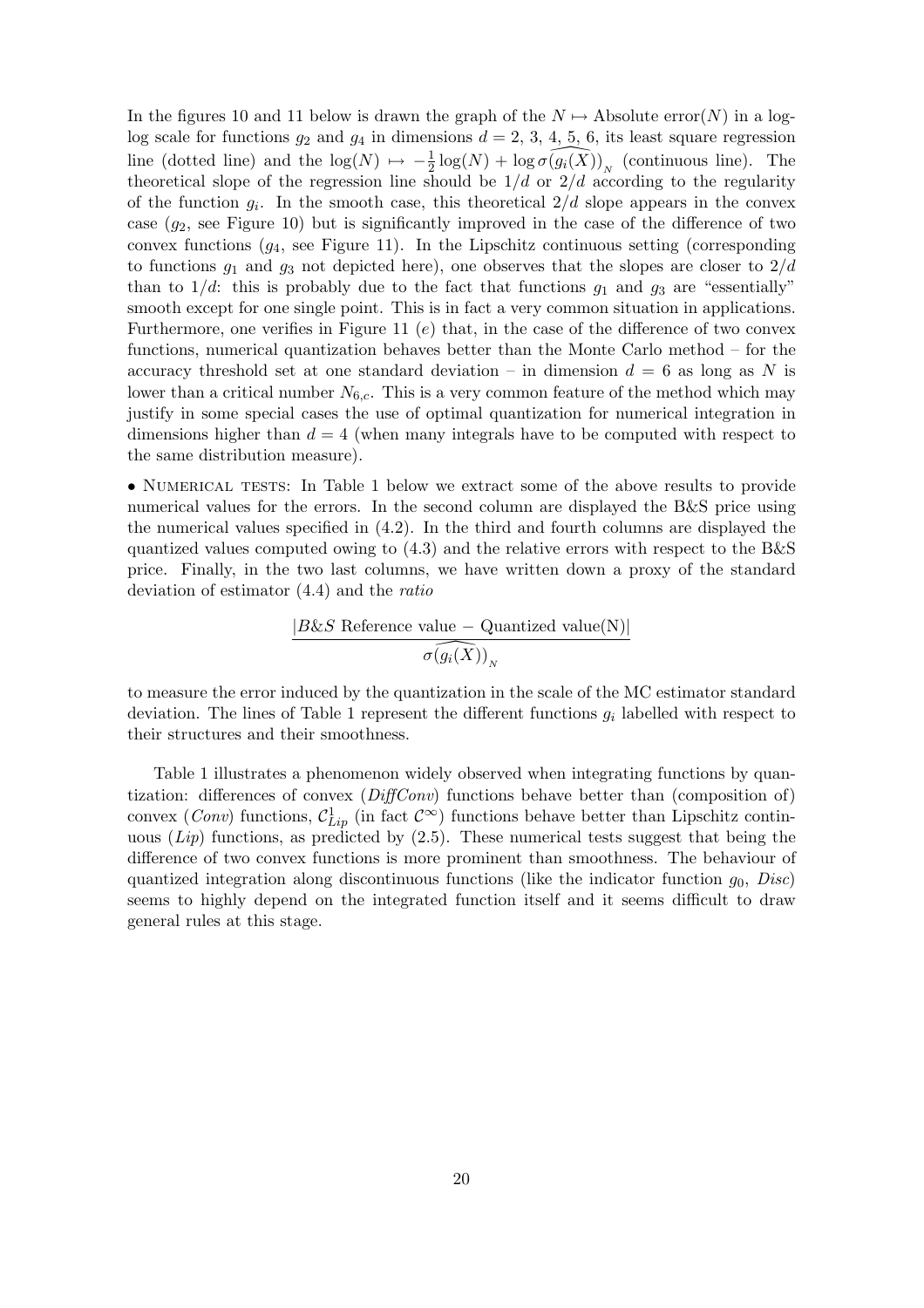In the figures 10 and 11 below is drawn the graph of the  $N \mapsto$  Absolute error(N) in a loglog scale for functions  $g_2$  and  $g_4$  in dimensions  $d = 2, 3, 4, 5, 6$ , its least square regression line (dotted line) and the  $\log(N) \mapsto -\frac{1}{2} \log(N) + \log \widehat{\sigma(g_i(X))}_N$  (continuous line). The theoretical slope of the regression line should be  $1/d$  or  $2/d$  according to the regularity of the function  $g_i$ . In the smooth case, this theoretical  $2/d$  slope appears in the convex case  $(g_2,$  see Figure 10) but is significantly improved in the case of the difference of two convex functions  $(g_4, \text{ see Figure 11}).$  In the Lipschitz continuous setting (corresponding to functions  $g_1$  and  $g_3$  not depicted here), one observes that the slopes are closer to  $2/d$ than to  $1/d$ : this is probably due to the fact that functions  $g_1$  and  $g_3$  are "essentially" smooth except for one single point. This is in fact a very common situation in applications. Furthermore, one verifies in Figure 11  $(e)$  that, in the case of the difference of two convex functions, numerical quantization behaves better than the Monte Carlo method – for the accuracy threshold set at one standard deviation – in dimension  $d = 6$  as long as N is lower than a critical number  $N_{6,c}$ . This is a very common feature of the method which may justify in some special cases the use of optimal quantization for numerical integration in dimensions higher than  $d = 4$  (when many integrals have to be computed with respect to the same distribution measure).

• NUMERICAL TESTS: In Table 1 below we extract some of the above results to provide numerical values for the errors. In the second column are displayed the B&S price using the numerical values specified in (4.2). In the third and fourth columns are displayed the quantized values computed owing to  $(4.3)$  and the relative errors with respect to the B&S price. Finally, in the two last columns, we have written down a proxy of the standard deviation of estimator (4.4) and the ratio

$$
\frac{|B\&S \text{ Reference value }-\text{Quantized value(N)}|}{\sigma \widehat{\left(g_i(X)\right)}_N}
$$

to measure the error induced by the quantization in the scale of the MC estimator standard deviation. The lines of Table 1 represent the different functions  $g_i$  labelled with respect to their structures and their smoothness.

Table 1 illustrates a phenomenon widely observed when integrating functions by quantization: differences of convex  $(DiffConv)$  functions behave better than (composition of) convex (*Conv*) functions,  $\mathcal{C}_{Lip}^1$  (in fact  $\mathcal{C}^{\infty}$ ) functions behave better than Lipschitz continuous  $(Lip)$  functions, as predicted by  $(2.5)$ . These numerical tests suggest that being the difference of two convex functions is more prominent than smoothness. The behaviour of quantized integration along discontinuous functions (like the indicator function  $q_0$ , Disc) seems to highly depend on the integrated function itself and it seems difficult to draw general rules at this stage.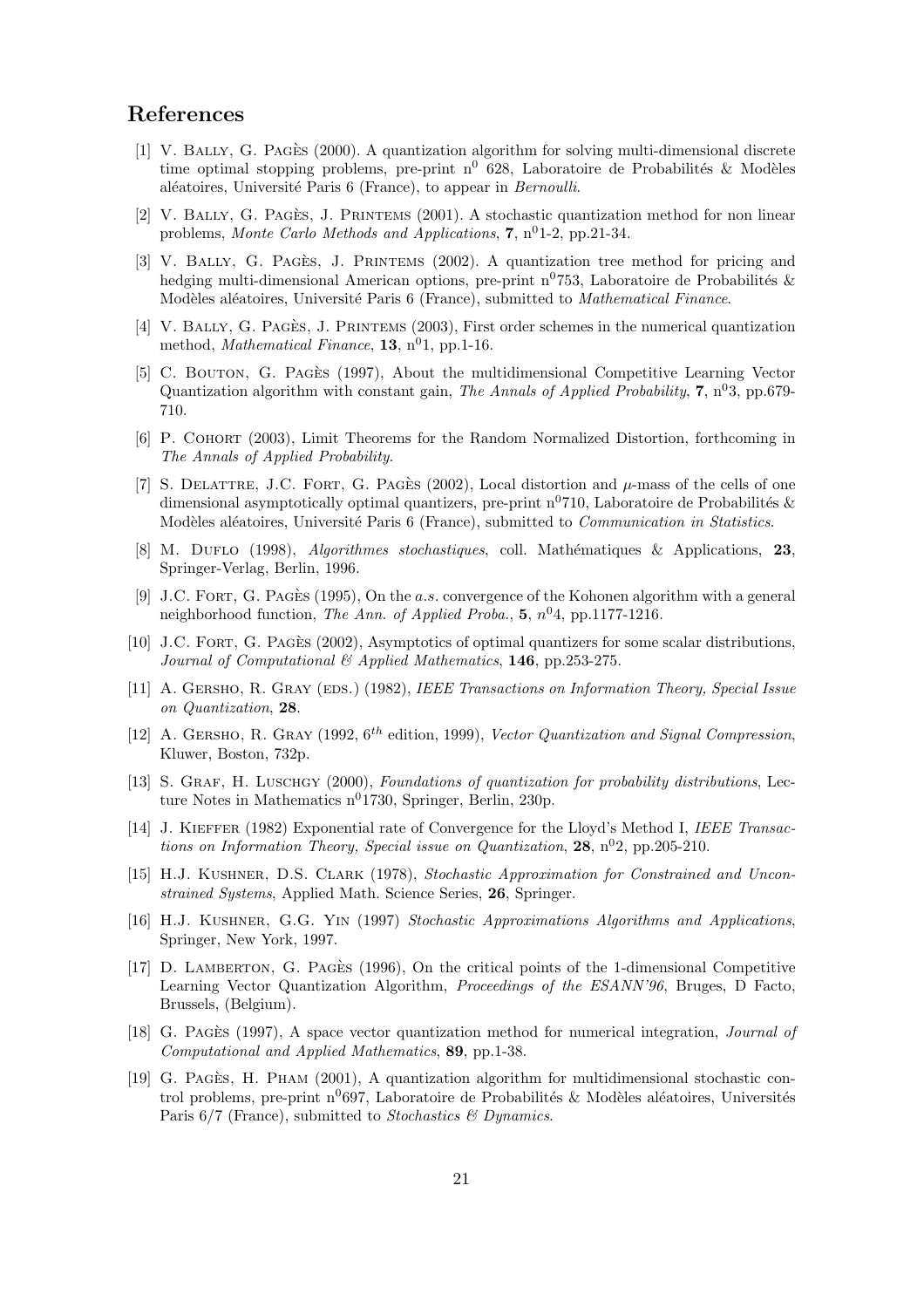# References

- [1] V. Bally, G. Pages` (2000). A quantization algorithm for solving multi-dimensional discrete time optimal stopping problems, pre-print  $n^0$  628, Laboratoire de Probabilités & Modèles aléatoires, Université Paris 6 (France), to appear in Bernoulli.
- $[2]$  V. BALLY, G. PAGES, J. PRINTEMS  $(2001)$ . A stochastic quantization method for non linear problems, Monte Carlo Methods and Applications,  $7, n<sup>0</sup>1-2, pp.21-34$ .
- [3] V. BALLY, G. PAGÈS, J. PRINTEMS  $(2002)$ . A quantization tree method for pricing and hedging multi-dimensional American options, pre-print  $n^{0}$ 753, Laboratoire de Probabilités & Modèles aléatoires, Université Paris 6 (France), submitted to *Mathematical Finance*.
- [4] V. BALLY, G. PAGES, J. PRINTEMS (2003), First order schemes in the numerical quantization method, *Mathematical Finance*, **13**,  $n^0$ **1**, pp.1-16.
- [5] C. BOUTON, G. PAGES (1997), About the multidimensional Competitive Learning Vector Quantization algorithm with constant gain, The Annals of Applied Probability,  $7, n^{03}$ , pp.679-710.
- [6] P. Cohort (2003), Limit Theorems for the Random Normalized Distortion, forthcoming in The Annals of Applied Probability.
- [7] S. DELATTRE, J.C. FORT, G. PAGES (2002), Local distortion and  $\mu$ -mass of the cells of one dimensional asymptotically optimal quantizers, pre-print  $n^{0}$ 710, Laboratoire de Probabilités & Modèles aléatoires, Université Paris 6 (France), submitted to *Communication in Statistics*.
- [8] M. DUFLO (1998), *Algorithmes stochastiques*, coll. Mathématiques & Applications, 23, Springer-Verlag, Berlin, 1996.
- [9] J.C. FORT, G. PAGES (1995), On the a.s. convergence of the Kohonen algorithm with a general neighborhood function, The Ann. of Applied Proba.,  $5, n<sup>0</sup>4$ , pp.1177-1216.
- [10] J.C. FORT, G. PAGES (2002), Asymptotics of optimal quantizers for some scalar distributions, Journal of Computational & Applied Mathematics, 146, pp.253-275.
- [11] A. GERSHO, R. GRAY (EDS.) (1982), IEEE Transactions on Information Theory, Special Issue on Quantization, 28.
- [12] A. GERSHO, R. GRAY (1992,  $6^{th}$  edition, 1999), Vector Quantization and Signal Compression, Kluwer, Boston, 732p.
- [13] S. GRAF, H. LUSCHGY (2000), Foundations of quantization for probability distributions, Lecture Notes in Mathematics  $n^{0}$ 1730, Springer, Berlin, 230p.
- [14] J. KIEFFER (1982) Exponential rate of Convergence for the Lloyd's Method I, IEEE Transactions on Information Theory, Special issue on Quantization, 28,  $n^{0}2$ , pp.205-210.
- [15] H.J. Kushner, D.S. Clark (1978), Stochastic Approximation for Constrained and Unconstrained Systems, Applied Math. Science Series, 26, Springer.
- [16] H.J. Kushner, G.G. Yin (1997) Stochastic Approximations Algorithms and Applications, Springer, New York, 1997.
- [17] D. LAMBERTON, G. PAGES (1996), On the critical points of the 1-dimensional Competitive Learning Vector Quantization Algorithm, Proceedings of the ESANN'96, Bruges, D Facto, Brussels, (Belgium).
- [18] G. PAGES (1997), A space vector quantization method for numerical integration, *Journal of* Computational and Applied Mathematics, 89, pp.1-38.
- [19] G. PAGES, H. PHAM  $(2001)$ , A quantization algorithm for multidimensional stochastic control problems, pre-print  $n^{0}$ 697, Laboratoire de Probabilités & Modèles aléatoires, Universités Paris 6/7 (France), submitted to Stochastics & Dynamics.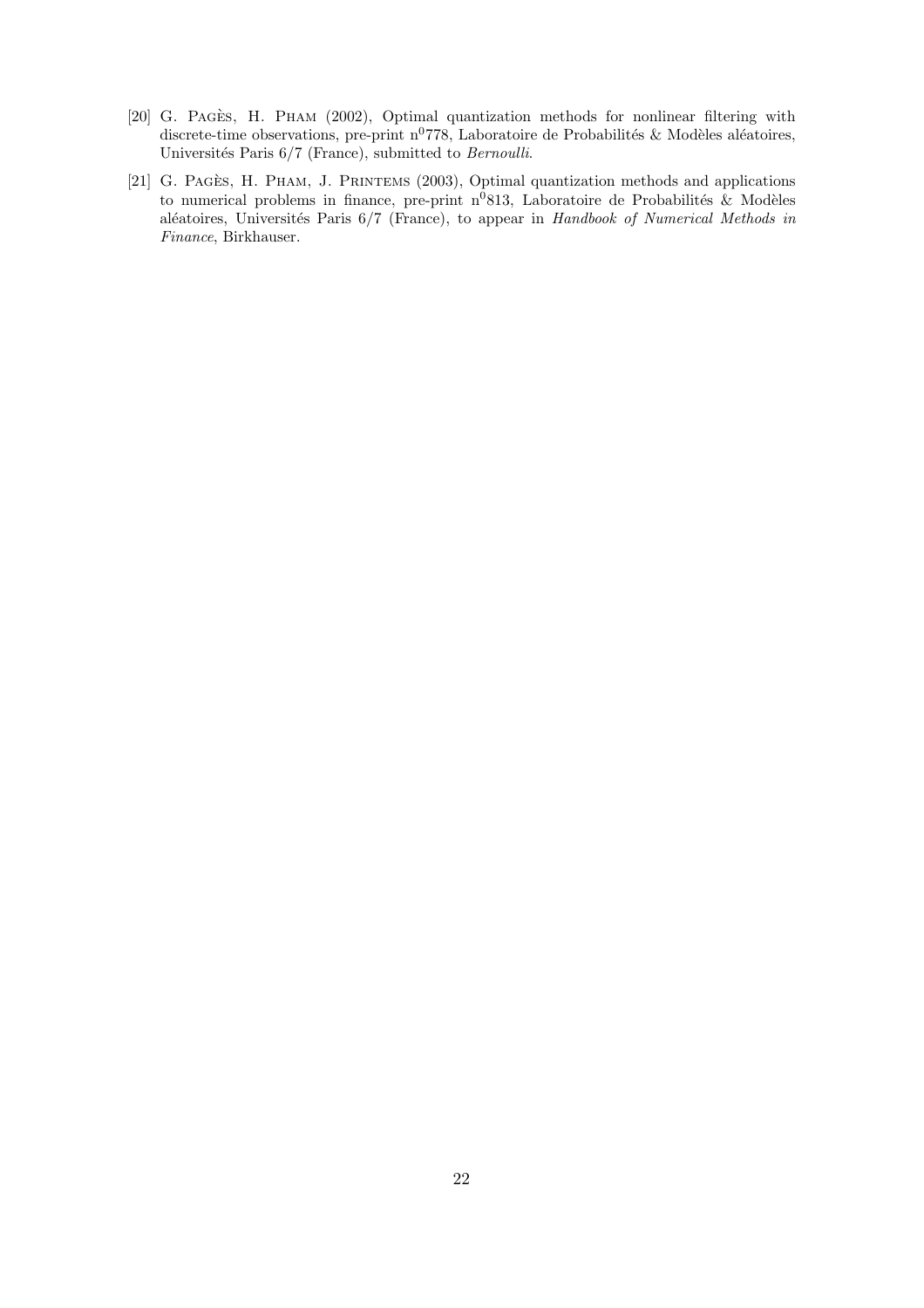- [20] G. PAGES, H. PHAM (2002), Optimal quantization methods for nonlinear filtering with discrete-time observations, pre-print  $n^{0}778$ , Laboratoire de Probabilités & Modèles aléatoires, Universités Paris 6/7 (France), submitted to Bernoulli.
- [21] G. PAGES, H. PHAM, J. PRINTEMS (2003), Optimal quantization methods and applications to numerical problems in finance, pre-print  $n^0$ 813, Laboratoire de Probabilités & Modèles aléatoires, Universités Paris 6/7 (France), to appear in Handbook of Numerical Methods in Finance, Birkhauser.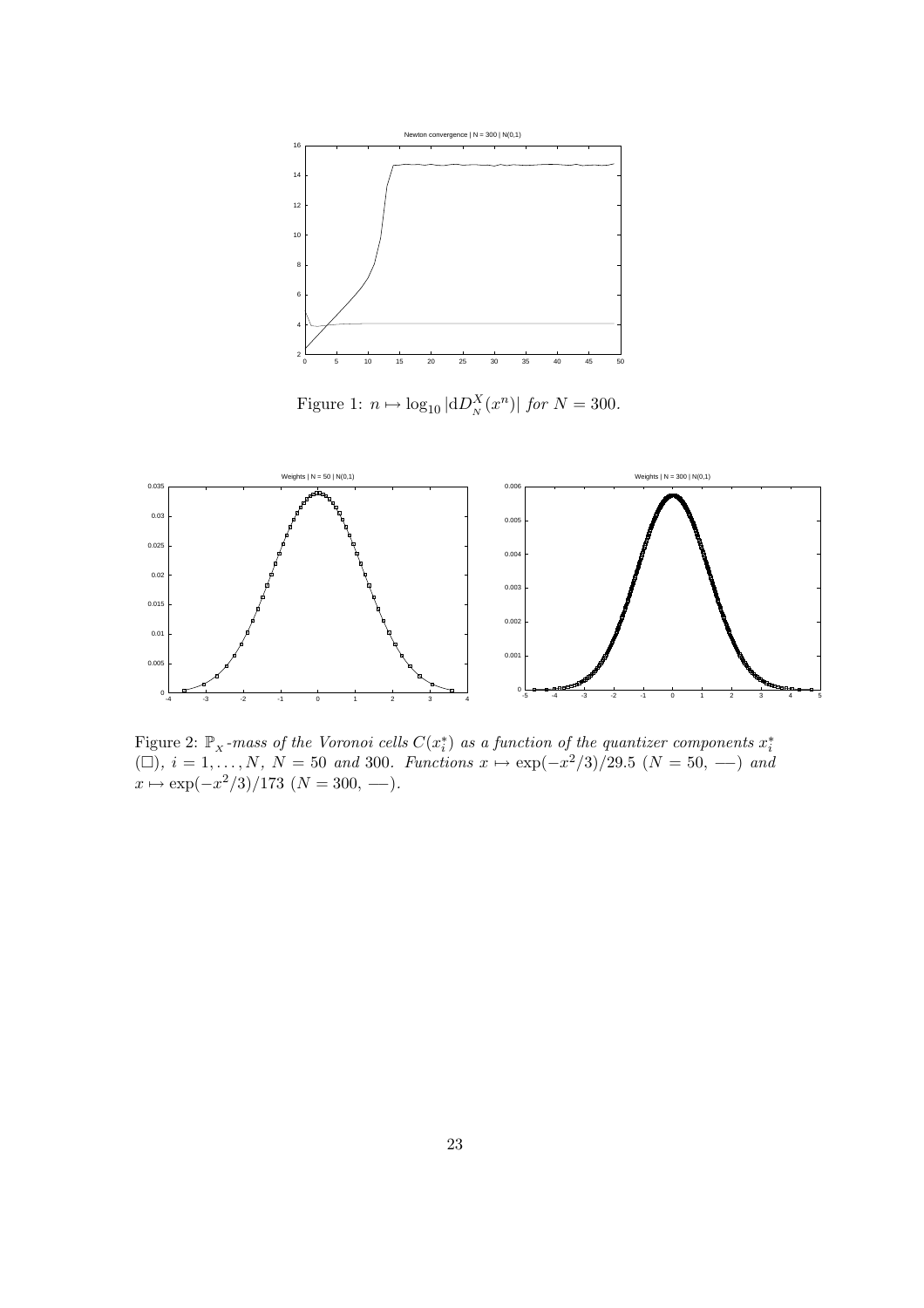

Figure 1:  $n \mapsto \log_{10} |\mathrm{d}D_N^X(x^n)|$  for  $N = 300$ .



Figure 2:  $\mathbb{P}_x$ -mass of the Voronoi cells  $C(x_i^*)$  as a function of the quantizer components  $x_i^*$ <br>( $\Box$ ),  $i = 1, ..., N$ ,  $N = 50$  and 300. Functions  $x \mapsto \exp(-x^2/3)/29.5$  ( $N = 50, \ldots$ ) and  $x \mapsto \exp(-x^2/3)/173$   $(N = 300, -)$ .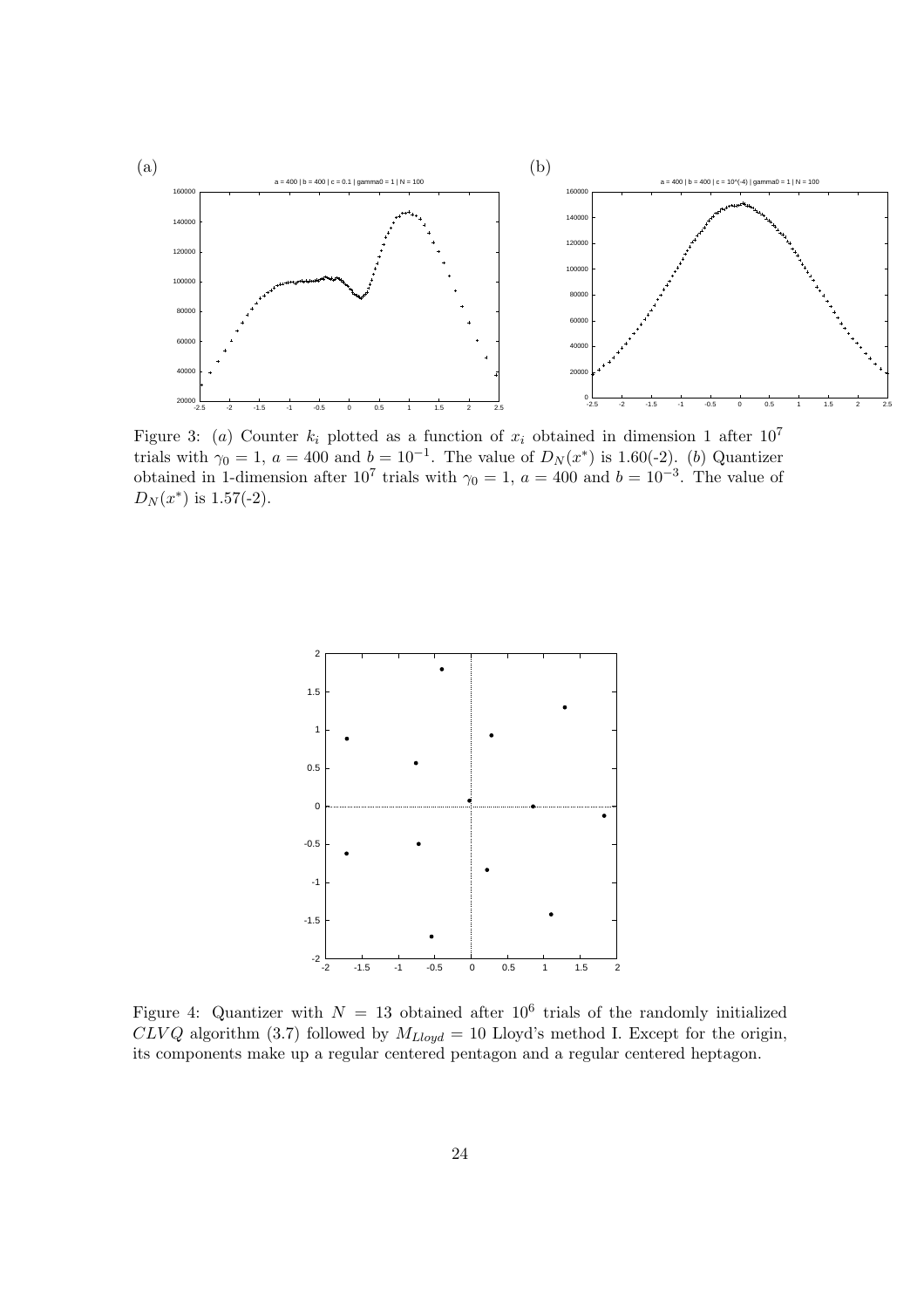

Figure 3: (a) Counter  $k_i$  plotted as a function of  $x_i$  obtained in dimension 1 after  $10^7$ trials with  $\gamma_0 = 1$ ,  $a = 400$  and  $b = 10^{-1}$ . The value of  $D_N(x^*)$  is 1.60(-2). (b) Quantizer obtained in 1-dimension after  $10^7$  trials with  $\gamma_0 = 1$ ,  $a = 400$  and  $b = 10^{-3}$ . The value of  $D_N(x^*)$  is 1.57(-2).



Figure 4: Quantizer with  $N = 13$  obtained after  $10^6$  trials of the randomly initialized  $CLVQ$  algorithm (3.7) followed by  $M_{Lloyd} = 10$  Lloyd's method I. Except for the origin, its components make up a regular centered pentagon and a regular centered heptagon.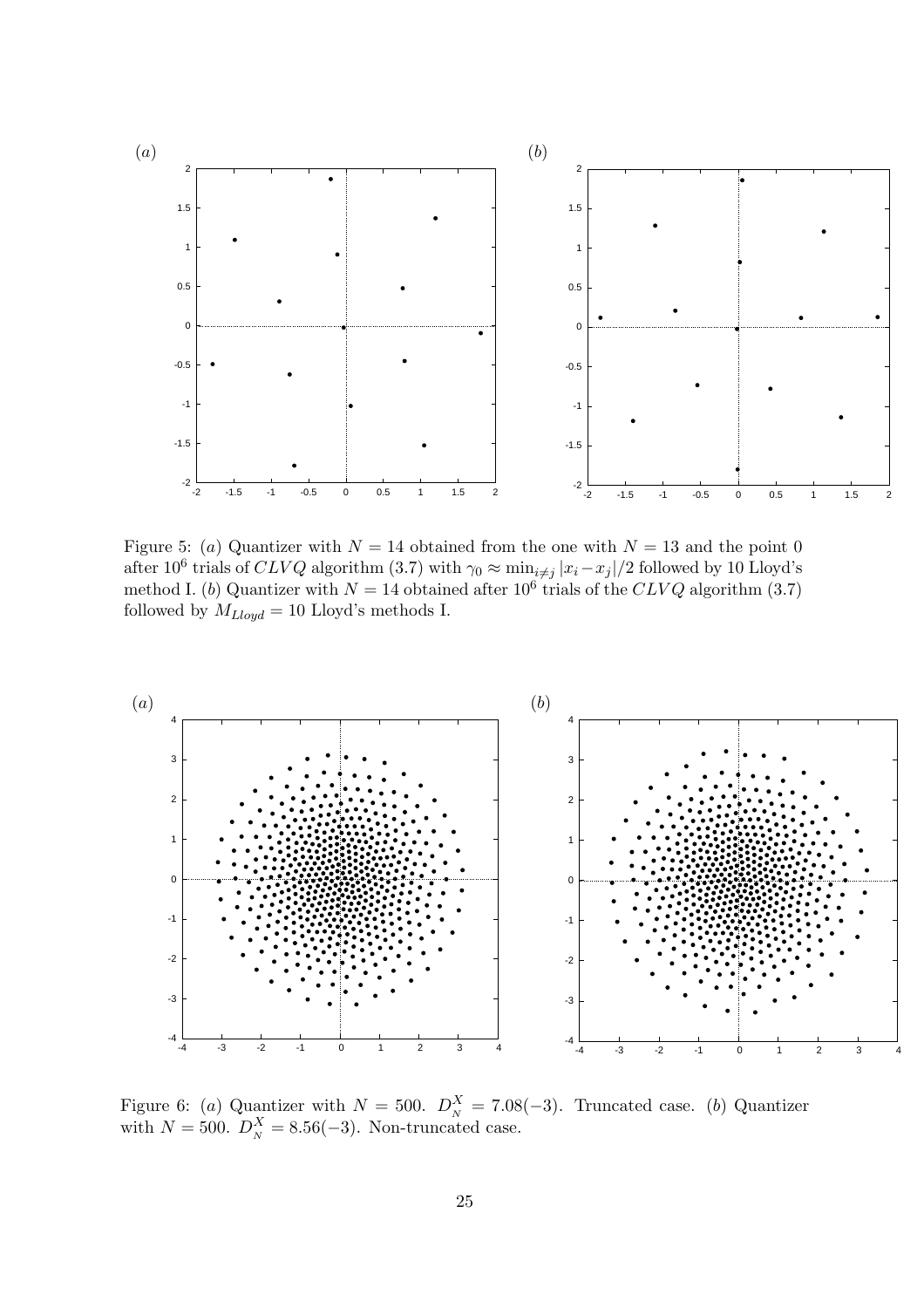

Figure 5: (a) Quantizer with  $N = 14$  obtained from the one with  $N = 13$  and the point 0 after 10<sup>6</sup> trials of CLVQ algorithm (3.7) with  $\gamma_0 \approx \min_{i \neq j} |x_i - x_j|/2$  followed by 10 Lloyd's method I. (b) Quantizer with  $N = 14$  obtained after  $10^6$  trials of the CLVQ algorithm (3.7) followed by  $M_{Lloyd} = 10$  Lloyd's methods I.



Figure 6: (a) Quantizer with  $N = 500$ .  $D_N^X = 7.08(-3)$ . Truncated case. (b) Quantizer with  $N = 500$ .  $D_N^X = 8.56(-3)$ . Non-truncated case.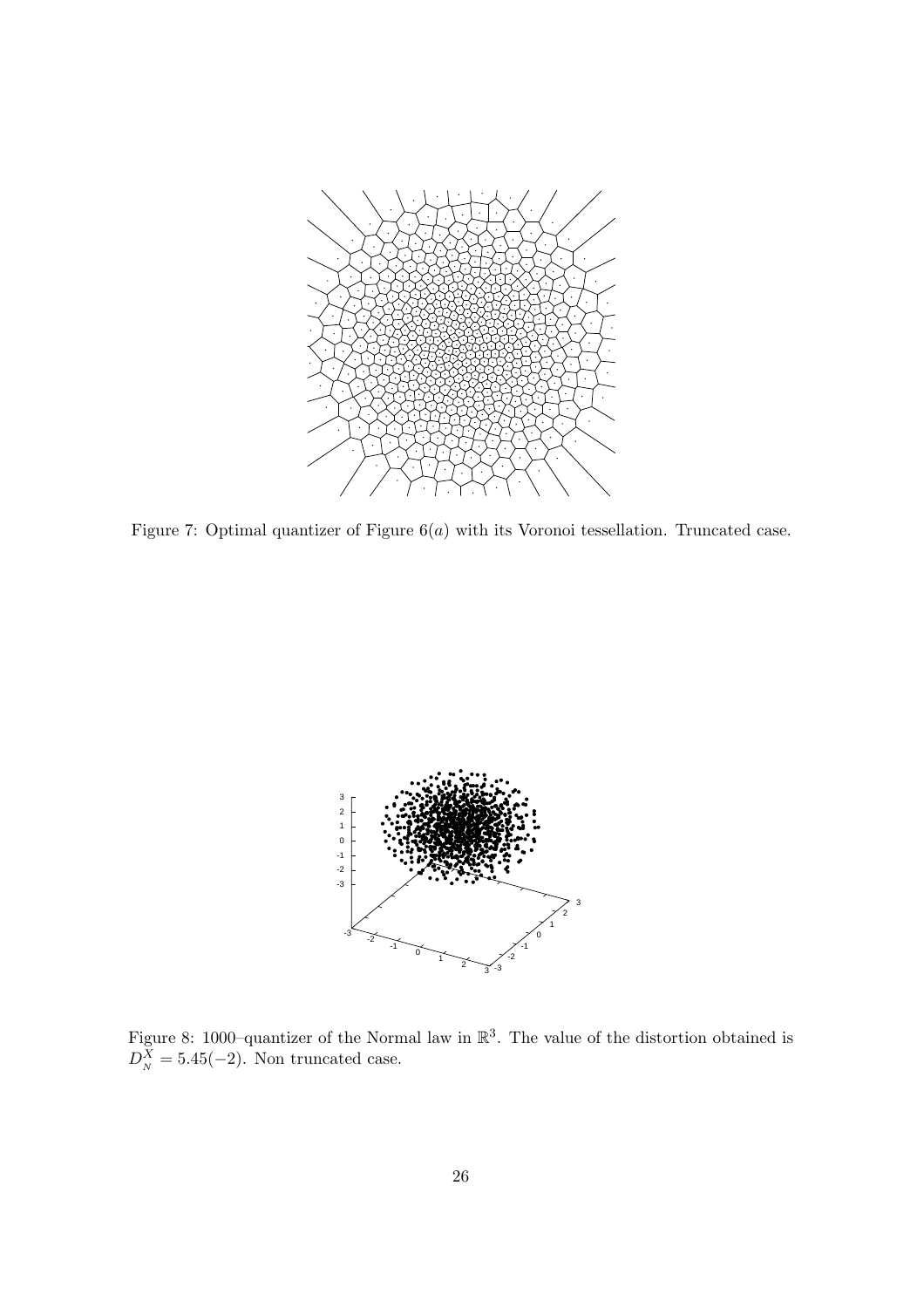

Figure 7: Optimal quantizer of Figure  $6(a)$  with its Voronoi tessellation. Truncated case.



Figure 8: 1000–quantizer of the Normal law in  $\mathbb{R}^3$ . The value of the distortion obtained is  $D_N^X = 5.45(-2)$ . Non truncated case.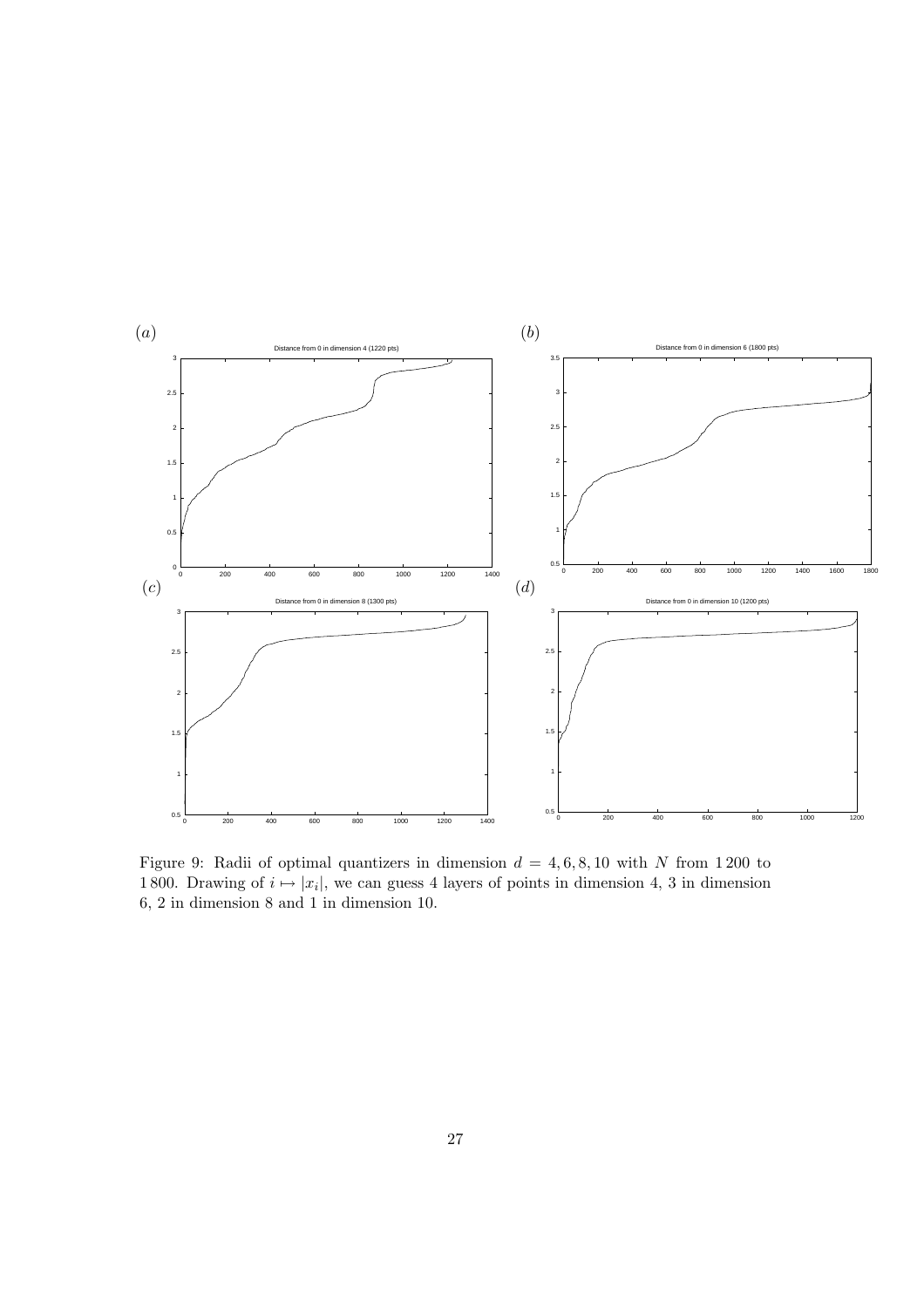

Figure 9: Radii of optimal quantizers in dimension  $d = 4, 6, 8, 10$  with N from 1200 to 1800. Drawing of  $i \mapsto |x_i|$ , we can guess 4 layers of points in dimension 4, 3 in dimension 6, 2 in dimension 8 and 1 in dimension 10.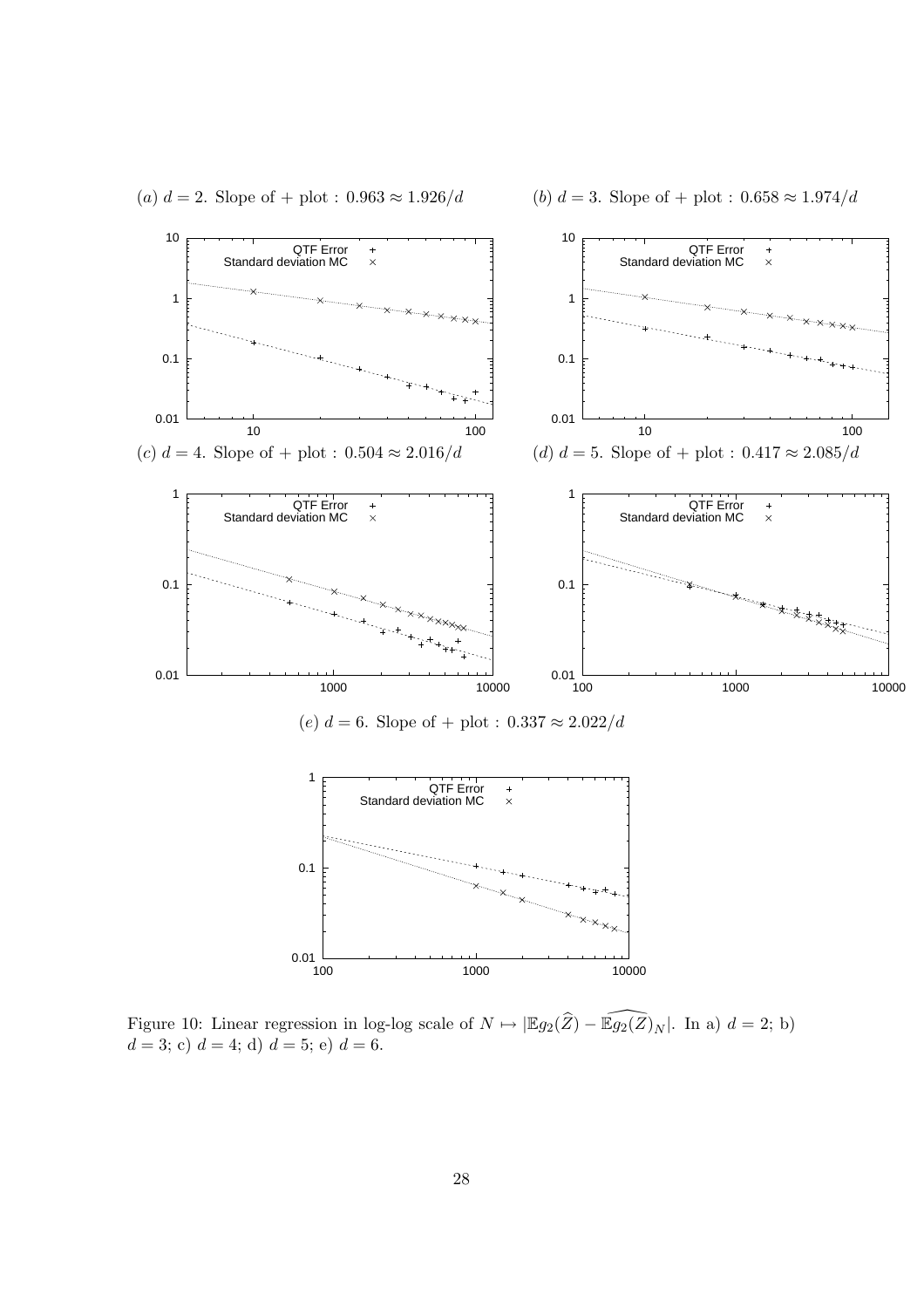



Figure 10: Linear regression in log-log scale of  $N \mapsto |\mathbb{E}g_2(\widehat{Z}) - \widehat{\mathbb{E}g_2(Z)}_N|$ . In a)  $d = 2$ ; b)  $d = 3$ ; c)  $d = 4$ ; d)  $d = 5$ ; e)  $d = 6$ .

28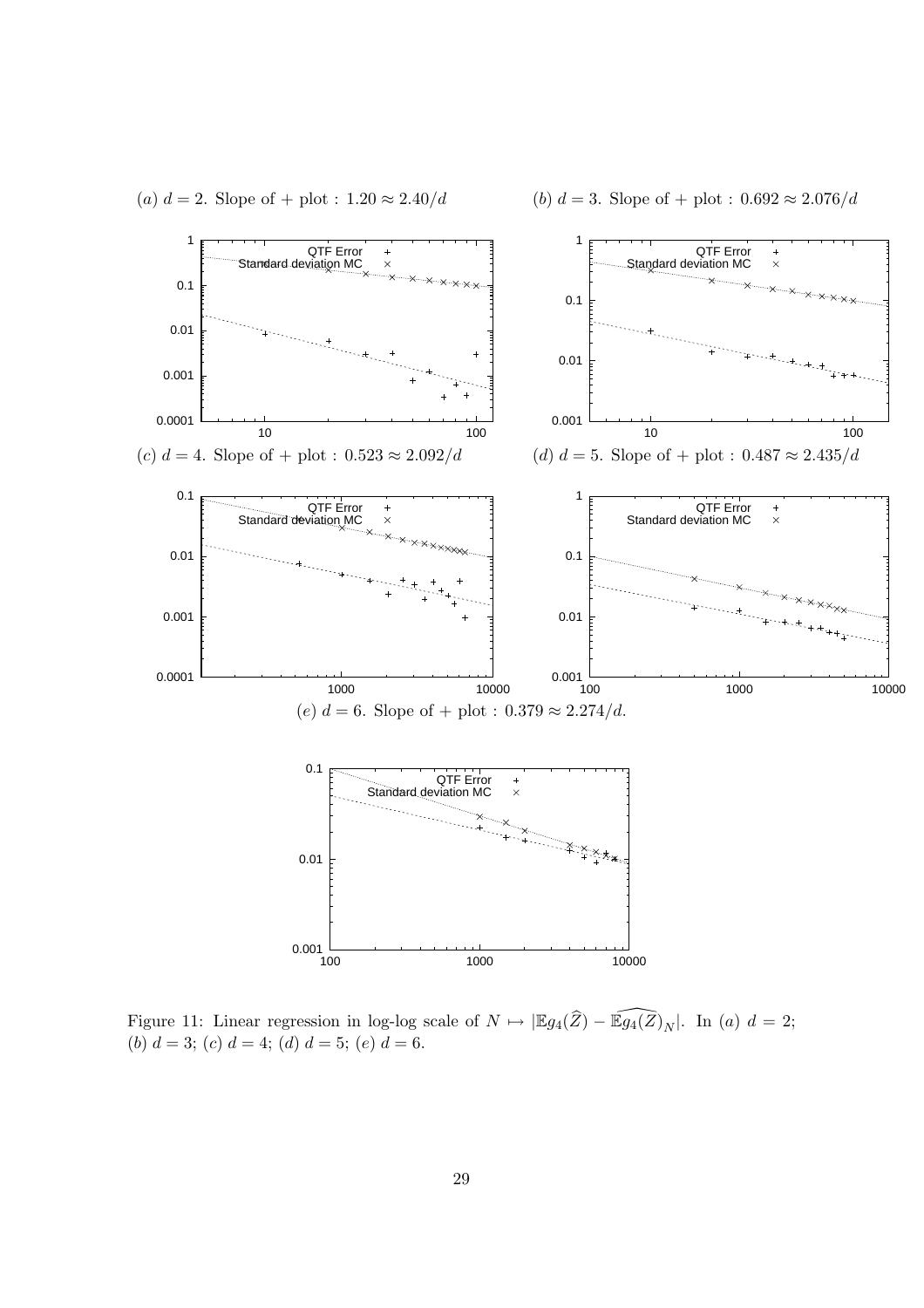

(a)  $d = 2$ . Slope of + plot :  $1.20 \approx 2.40/d$  (b)  $d = 3$ . Slope of + plot :  $0.692 \approx 2.076/d$ 

Figure 11: Linear regression in log-log scale of  $N \mapsto |\mathbb{E}g_4(\widehat{Z}) - \widehat{\mathbb{E}g_4(Z)}_N|$ . In (a)  $d = 2$ ; (b)  $d = 3$ ; (c)  $d = 4$ ; (d)  $d = 5$ ; (e)  $d = 6$ .